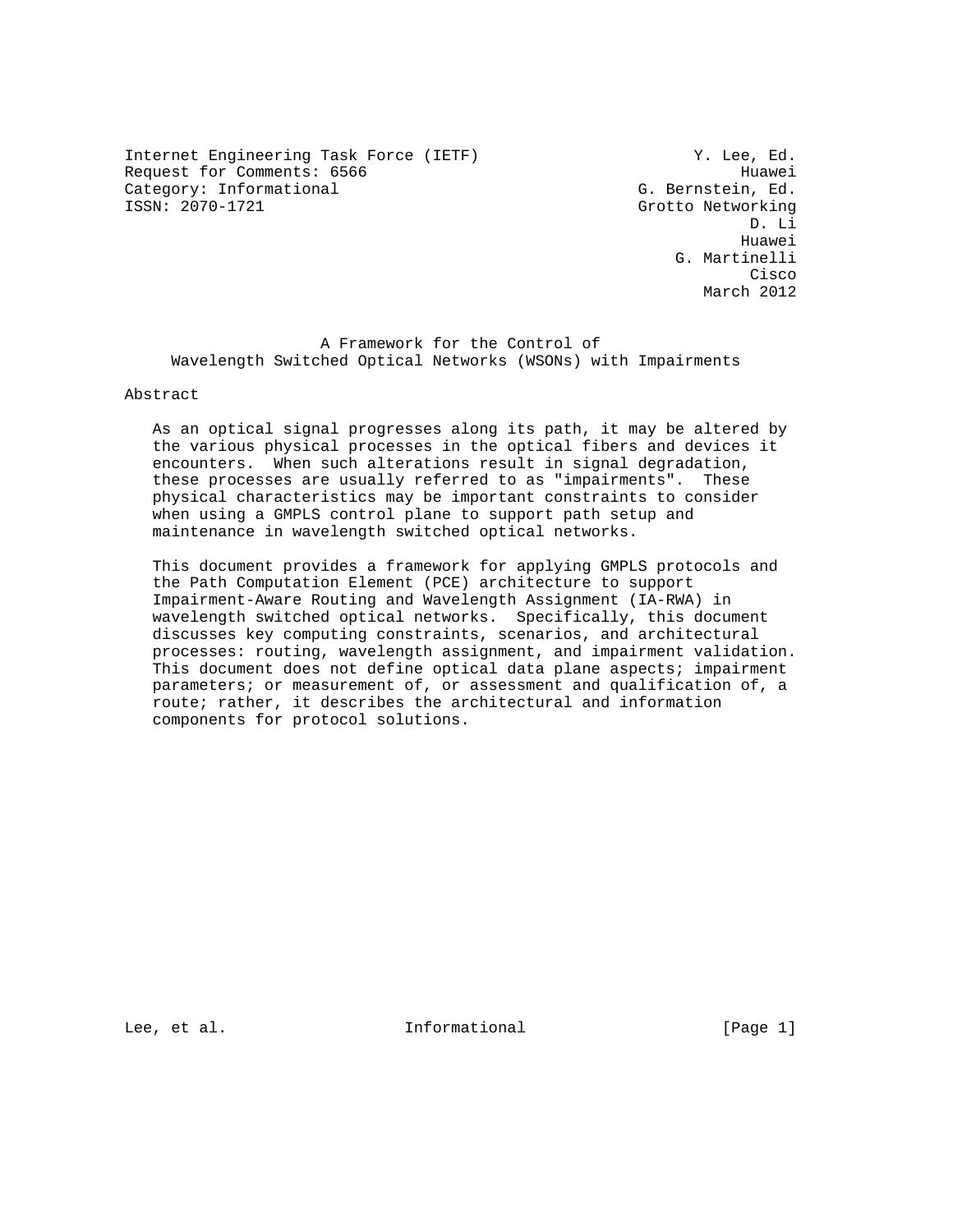Internet Engineering Task Force (IETF) The Manuscript of M. Lee, Ed. Request for Comments: 6566 Huawei Category: Informational G. Bernstein, Ed. (Gategory: Informational G. Bernstein, Ed. (Gategory: 1997)

Grotto Networking D. Li he distributed by the control of the control of the control of the control of the control of the control of the control of the control of the control of the control of the control of the control of the control of the contr G. Martinelli **Cisco de la contrata de la contrata de la contrata de la contrata de la contrata de la contrata de la contrat** March 2012

 A Framework for the Control of Wavelength Switched Optical Networks (WSONs) with Impairments

## Abstract

 As an optical signal progresses along its path, it may be altered by the various physical processes in the optical fibers and devices it encounters. When such alterations result in signal degradation, these processes are usually referred to as "impairments". These physical characteristics may be important constraints to consider when using a GMPLS control plane to support path setup and maintenance in wavelength switched optical networks.

 This document provides a framework for applying GMPLS protocols and the Path Computation Element (PCE) architecture to support Impairment-Aware Routing and Wavelength Assignment (IA-RWA) in wavelength switched optical networks. Specifically, this document discusses key computing constraints, scenarios, and architectural processes: routing, wavelength assignment, and impairment validation. This document does not define optical data plane aspects; impairment parameters; or measurement of, or assessment and qualification of, a route; rather, it describes the architectural and information components for protocol solutions.

Lee, et al. Informational [Page 1]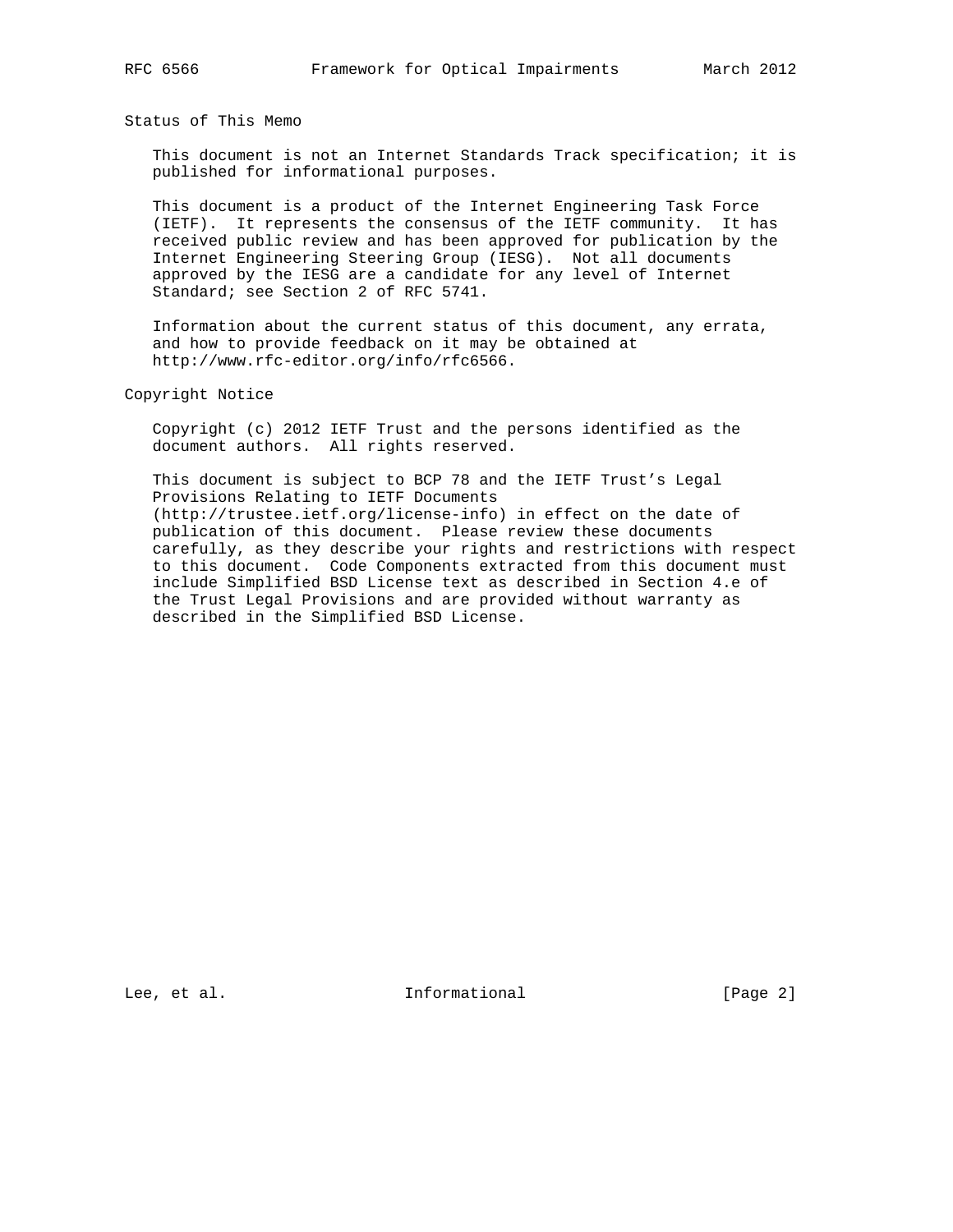Status of This Memo

 This document is not an Internet Standards Track specification; it is published for informational purposes.

 This document is a product of the Internet Engineering Task Force (IETF). It represents the consensus of the IETF community. It has received public review and has been approved for publication by the Internet Engineering Steering Group (IESG). Not all documents approved by the IESG are a candidate for any level of Internet Standard; see Section 2 of RFC 5741.

 Information about the current status of this document, any errata, and how to provide feedback on it may be obtained at http://www.rfc-editor.org/info/rfc6566.

Copyright Notice

 Copyright (c) 2012 IETF Trust and the persons identified as the document authors. All rights reserved.

 This document is subject to BCP 78 and the IETF Trust's Legal Provisions Relating to IETF Documents (http://trustee.ietf.org/license-info) in effect on the date of publication of this document. Please review these documents carefully, as they describe your rights and restrictions with respect to this document. Code Components extracted from this document must include Simplified BSD License text as described in Section 4.e of the Trust Legal Provisions and are provided without warranty as described in the Simplified BSD License.

Lee, et al. Informational [Page 2]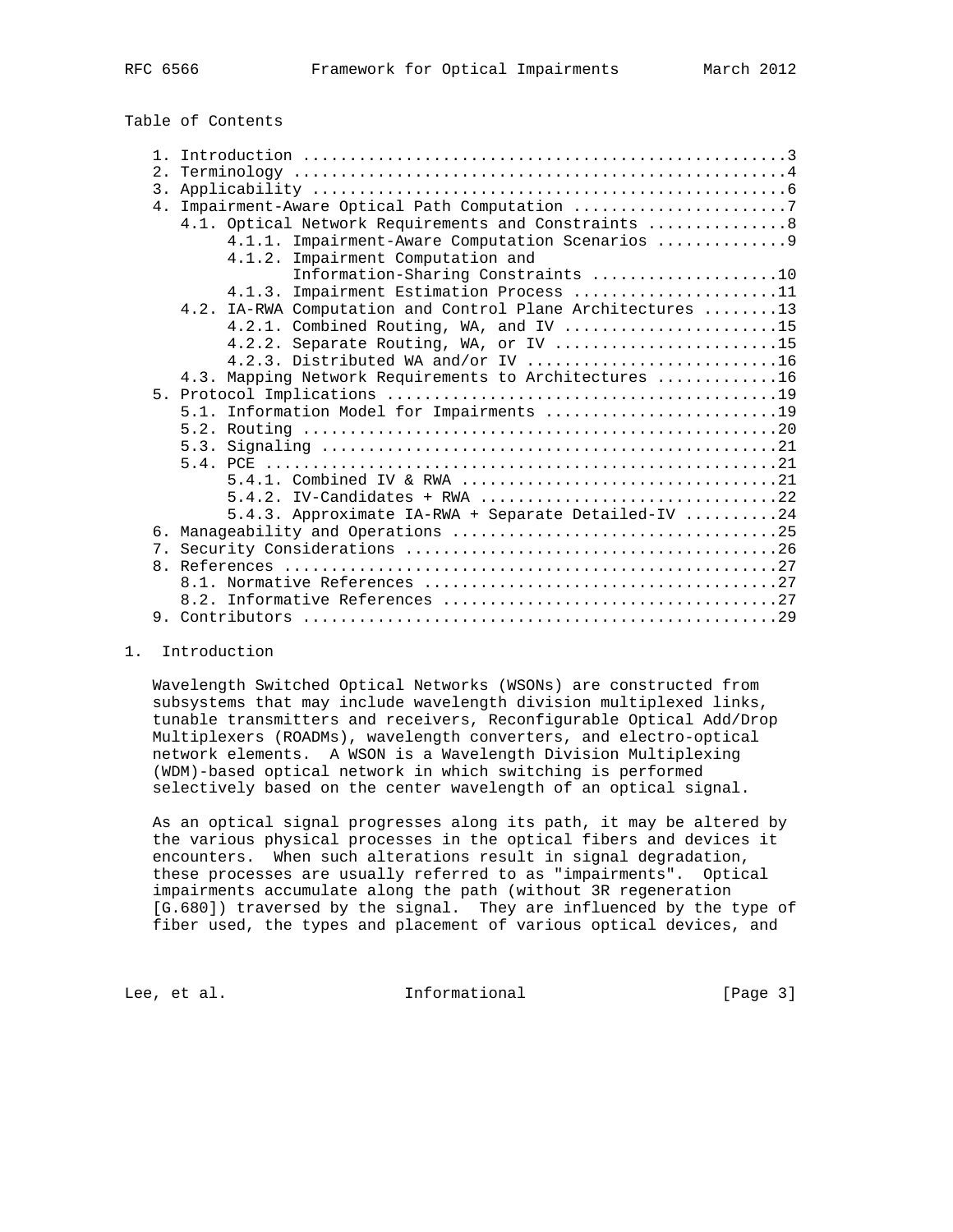| Table of Contents |  |
|-------------------|--|
|-------------------|--|

| 3.<br>4. Impairment-Aware Optical Path Computation 7<br>4.1. Optical Network Requirements and Constraints  8<br>4.1.1. Impairment-Aware Computation Scenarios  9<br>4.1.2. Impairment Computation and<br>Information-Sharing Constraints 10<br>4.1.3. Impairment Estimation Process 11 |  |
|----------------------------------------------------------------------------------------------------------------------------------------------------------------------------------------------------------------------------------------------------------------------------------------|--|
|                                                                                                                                                                                                                                                                                        |  |
|                                                                                                                                                                                                                                                                                        |  |
|                                                                                                                                                                                                                                                                                        |  |
|                                                                                                                                                                                                                                                                                        |  |
|                                                                                                                                                                                                                                                                                        |  |
|                                                                                                                                                                                                                                                                                        |  |
|                                                                                                                                                                                                                                                                                        |  |
|                                                                                                                                                                                                                                                                                        |  |
| 4.2. IA-RWA Computation and Control Plane Architectures 13                                                                                                                                                                                                                             |  |
| 4.2.1. Combined Routing, WA, and IV 15                                                                                                                                                                                                                                                 |  |
| 4.2.2. Separate Routing, WA, or IV 15                                                                                                                                                                                                                                                  |  |
| 4.2.3. Distributed WA and/or IV 16                                                                                                                                                                                                                                                     |  |
| 4.3. Mapping Network Requirements to Architectures 16                                                                                                                                                                                                                                  |  |
|                                                                                                                                                                                                                                                                                        |  |
| 5.1. Information Model for Impairments 19                                                                                                                                                                                                                                              |  |
|                                                                                                                                                                                                                                                                                        |  |
|                                                                                                                                                                                                                                                                                        |  |
|                                                                                                                                                                                                                                                                                        |  |
|                                                                                                                                                                                                                                                                                        |  |
|                                                                                                                                                                                                                                                                                        |  |
| 5.4.3. Approximate IA-RWA + Separate Detailed-IV 24                                                                                                                                                                                                                                    |  |
|                                                                                                                                                                                                                                                                                        |  |
|                                                                                                                                                                                                                                                                                        |  |
|                                                                                                                                                                                                                                                                                        |  |
|                                                                                                                                                                                                                                                                                        |  |
|                                                                                                                                                                                                                                                                                        |  |
|                                                                                                                                                                                                                                                                                        |  |

### 1. Introduction

 Wavelength Switched Optical Networks (WSONs) are constructed from subsystems that may include wavelength division multiplexed links, tunable transmitters and receivers, Reconfigurable Optical Add/Drop Multiplexers (ROADMs), wavelength converters, and electro-optical network elements. A WSON is a Wavelength Division Multiplexing (WDM)-based optical network in which switching is performed selectively based on the center wavelength of an optical signal.

 As an optical signal progresses along its path, it may be altered by the various physical processes in the optical fibers and devices it encounters. When such alterations result in signal degradation, these processes are usually referred to as "impairments". Optical impairments accumulate along the path (without 3R regeneration [G.680]) traversed by the signal. They are influenced by the type of fiber used, the types and placement of various optical devices, and

Lee, et al. 10 mm informational 100 mm informational [Page 3]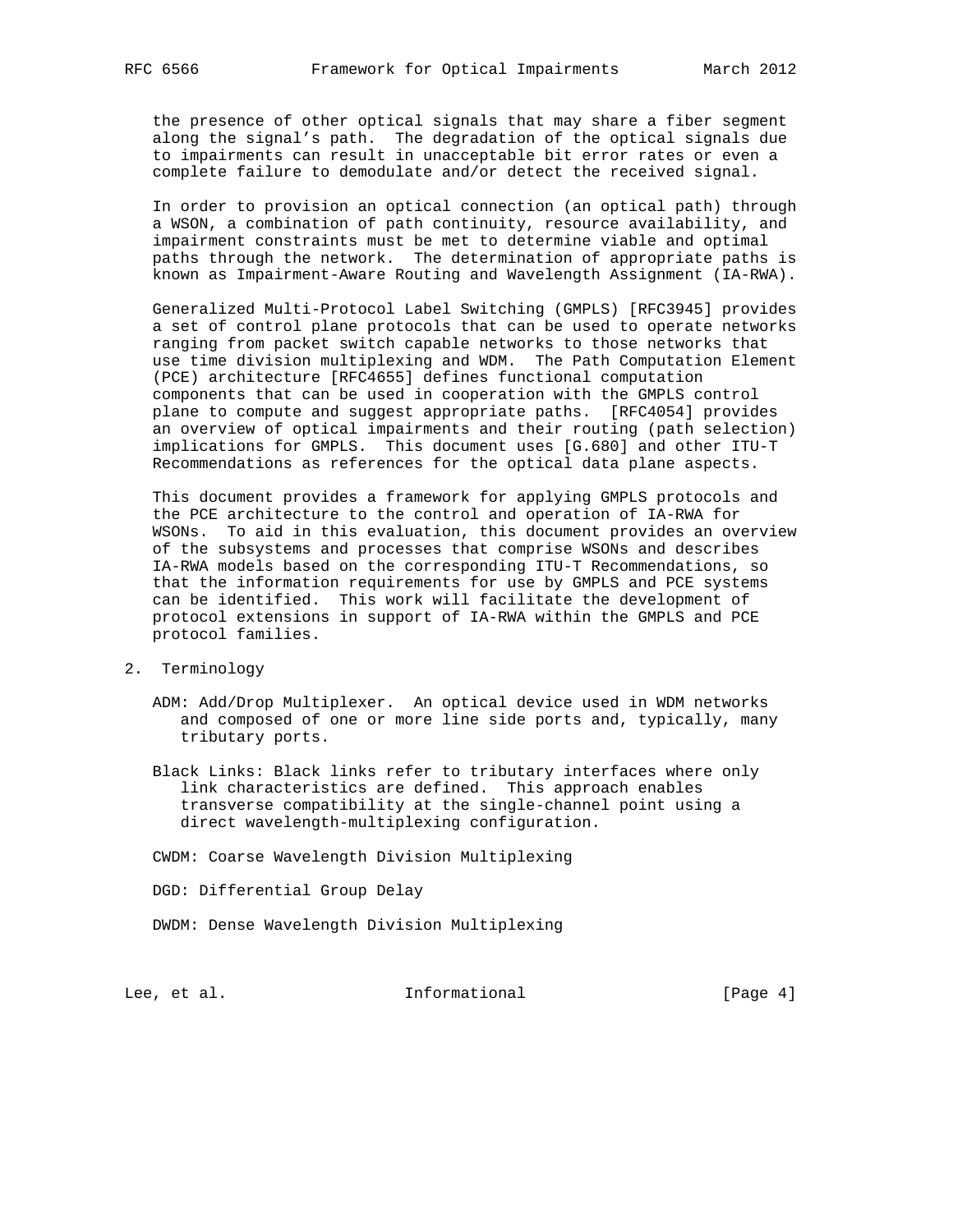the presence of other optical signals that may share a fiber segment along the signal's path. The degradation of the optical signals due to impairments can result in unacceptable bit error rates or even a complete failure to demodulate and/or detect the received signal.

 In order to provision an optical connection (an optical path) through a WSON, a combination of path continuity, resource availability, and impairment constraints must be met to determine viable and optimal paths through the network. The determination of appropriate paths is known as Impairment-Aware Routing and Wavelength Assignment (IA-RWA).

 Generalized Multi-Protocol Label Switching (GMPLS) [RFC3945] provides a set of control plane protocols that can be used to operate networks ranging from packet switch capable networks to those networks that use time division multiplexing and WDM. The Path Computation Element (PCE) architecture [RFC4655] defines functional computation components that can be used in cooperation with the GMPLS control plane to compute and suggest appropriate paths. [RFC4054] provides an overview of optical impairments and their routing (path selection) implications for GMPLS. This document uses [G.680] and other ITU-T Recommendations as references for the optical data plane aspects.

 This document provides a framework for applying GMPLS protocols and the PCE architecture to the control and operation of IA-RWA for WSONs. To aid in this evaluation, this document provides an overview of the subsystems and processes that comprise WSONs and describes IA-RWA models based on the corresponding ITU-T Recommendations, so that the information requirements for use by GMPLS and PCE systems can be identified. This work will facilitate the development of protocol extensions in support of IA-RWA within the GMPLS and PCE protocol families.

- 2. Terminology
	- ADM: Add/Drop Multiplexer. An optical device used in WDM networks and composed of one or more line side ports and, typically, many tributary ports.
	- Black Links: Black links refer to tributary interfaces where only link characteristics are defined. This approach enables transverse compatibility at the single-channel point using a direct wavelength-multiplexing configuration.

CWDM: Coarse Wavelength Division Multiplexing

DGD: Differential Group Delay

DWDM: Dense Wavelength Division Multiplexing

Lee, et al. 10 methormational [Page 4]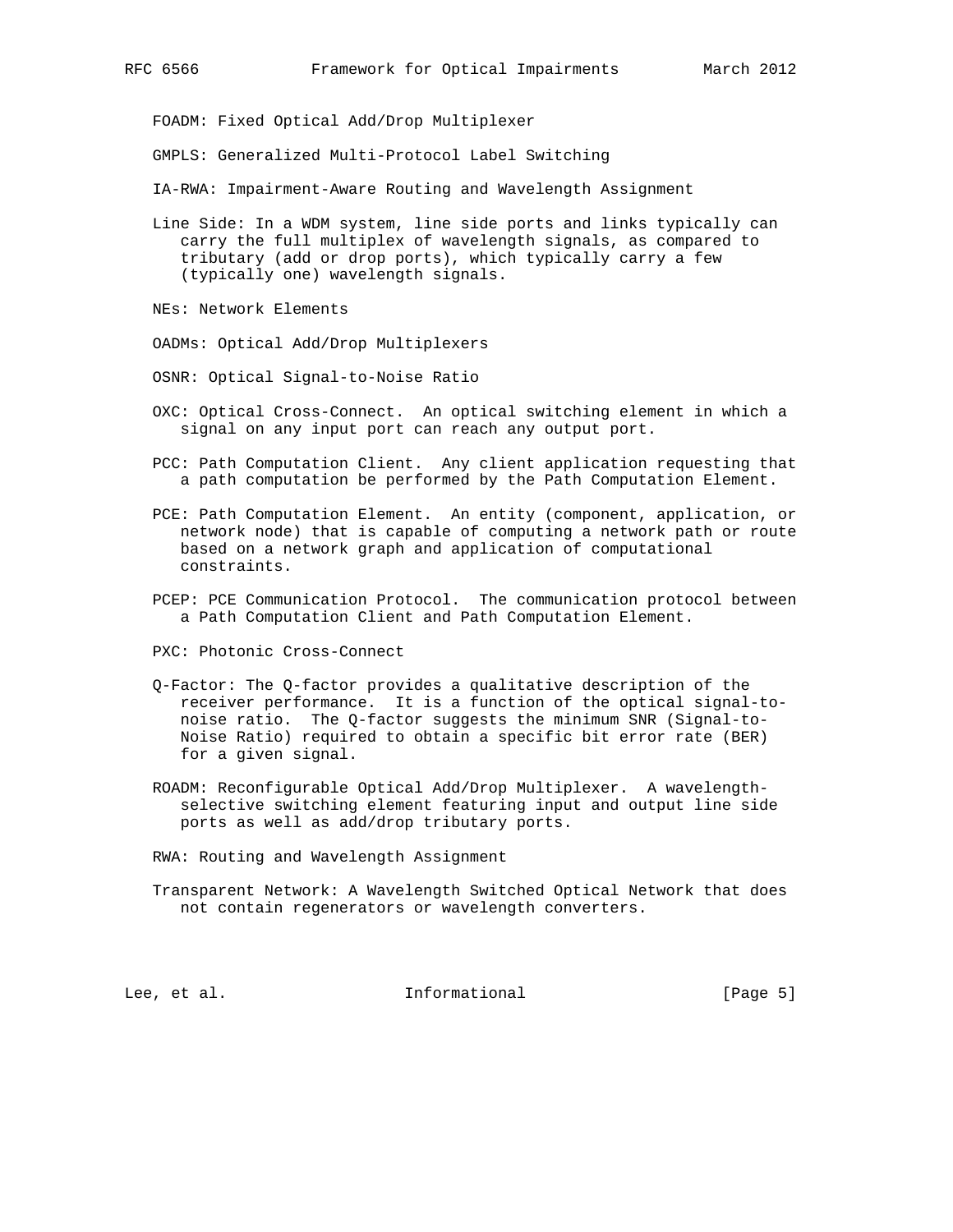FOADM: Fixed Optical Add/Drop Multiplexer

GMPLS: Generalized Multi-Protocol Label Switching

IA-RWA: Impairment-Aware Routing and Wavelength Assignment

 Line Side: In a WDM system, line side ports and links typically can carry the full multiplex of wavelength signals, as compared to tributary (add or drop ports), which typically carry a few (typically one) wavelength signals.

NEs: Network Elements

OADMs: Optical Add/Drop Multiplexers

OSNR: Optical Signal-to-Noise Ratio

- OXC: Optical Cross-Connect. An optical switching element in which a signal on any input port can reach any output port.
- PCC: Path Computation Client. Any client application requesting that a path computation be performed by the Path Computation Element.
- PCE: Path Computation Element. An entity (component, application, or network node) that is capable of computing a network path or route based on a network graph and application of computational constraints.
- PCEP: PCE Communication Protocol. The communication protocol between a Path Computation Client and Path Computation Element.

PXC: Photonic Cross-Connect

- Q-Factor: The Q-factor provides a qualitative description of the receiver performance. It is a function of the optical signal-to noise ratio. The Q-factor suggests the minimum SNR (Signal-to- Noise Ratio) required to obtain a specific bit error rate (BER) for a given signal.
- ROADM: Reconfigurable Optical Add/Drop Multiplexer. A wavelength selective switching element featuring input and output line side ports as well as add/drop tributary ports.

RWA: Routing and Wavelength Assignment

 Transparent Network: A Wavelength Switched Optical Network that does not contain regenerators or wavelength converters.

Lee, et al. 1nformational [Page 5]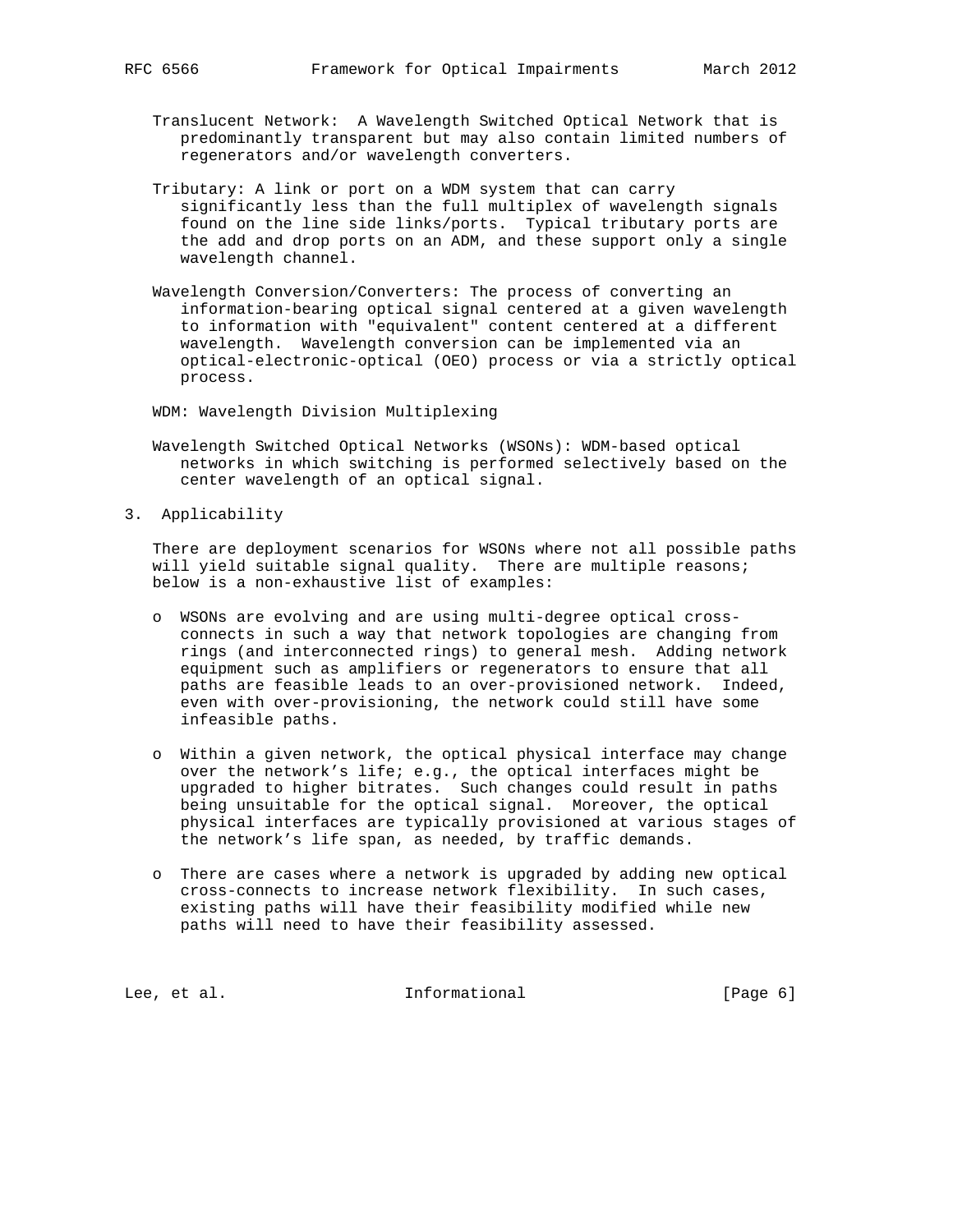- Translucent Network: A Wavelength Switched Optical Network that is predominantly transparent but may also contain limited numbers of regenerators and/or wavelength converters.
- Tributary: A link or port on a WDM system that can carry significantly less than the full multiplex of wavelength signals found on the line side links/ports. Typical tributary ports are the add and drop ports on an ADM, and these support only a single wavelength channel.
- Wavelength Conversion/Converters: The process of converting an information-bearing optical signal centered at a given wavelength to information with "equivalent" content centered at a different wavelength. Wavelength conversion can be implemented via an optical-electronic-optical (OEO) process or via a strictly optical process.

WDM: Wavelength Division Multiplexing

- Wavelength Switched Optical Networks (WSONs): WDM-based optical networks in which switching is performed selectively based on the center wavelength of an optical signal.
- 3. Applicability

 There are deployment scenarios for WSONs where not all possible paths will yield suitable signal quality. There are multiple reasons; below is a non-exhaustive list of examples:

- o WSONs are evolving and are using multi-degree optical cross connects in such a way that network topologies are changing from rings (and interconnected rings) to general mesh. Adding network equipment such as amplifiers or regenerators to ensure that all paths are feasible leads to an over-provisioned network. Indeed, even with over-provisioning, the network could still have some infeasible paths.
- o Within a given network, the optical physical interface may change over the network's life; e.g., the optical interfaces might be upgraded to higher bitrates. Such changes could result in paths being unsuitable for the optical signal. Moreover, the optical physical interfaces are typically provisioned at various stages of the network's life span, as needed, by traffic demands.
- o There are cases where a network is upgraded by adding new optical cross-connects to increase network flexibility. In such cases, existing paths will have their feasibility modified while new paths will need to have their feasibility assessed.

Lee, et al. 10 mm informational 100 mm informational [Page 6]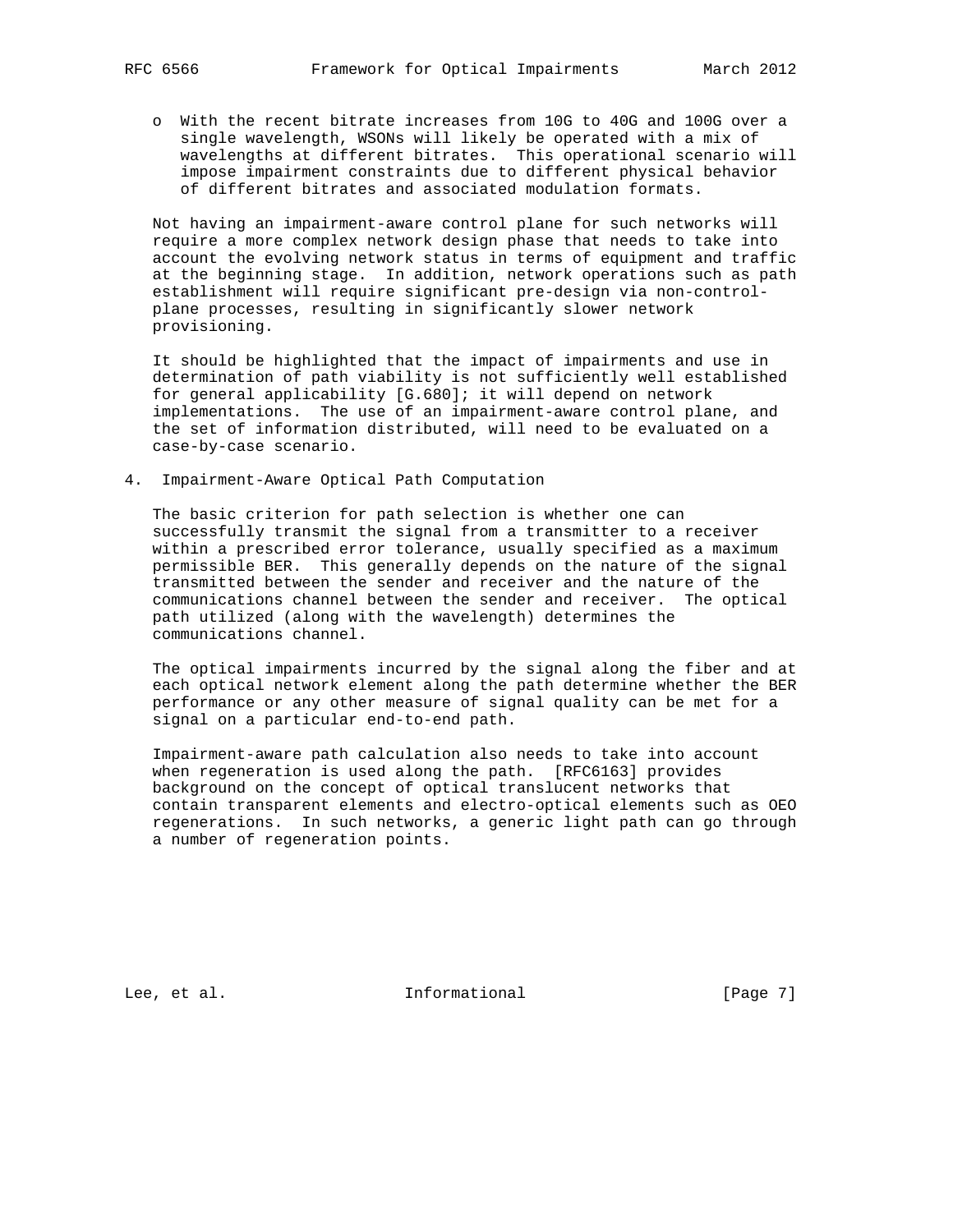o With the recent bitrate increases from 10G to 40G and 100G over a single wavelength, WSONs will likely be operated with a mix of wavelengths at different bitrates. This operational scenario will impose impairment constraints due to different physical behavior of different bitrates and associated modulation formats.

 Not having an impairment-aware control plane for such networks will require a more complex network design phase that needs to take into account the evolving network status in terms of equipment and traffic at the beginning stage. In addition, network operations such as path establishment will require significant pre-design via non-control plane processes, resulting in significantly slower network provisioning.

 It should be highlighted that the impact of impairments and use in determination of path viability is not sufficiently well established for general applicability [G.680]; it will depend on network implementations. The use of an impairment-aware control plane, and the set of information distributed, will need to be evaluated on a case-by-case scenario.

4. Impairment-Aware Optical Path Computation

 The basic criterion for path selection is whether one can successfully transmit the signal from a transmitter to a receiver within a prescribed error tolerance, usually specified as a maximum permissible BER. This generally depends on the nature of the signal transmitted between the sender and receiver and the nature of the communications channel between the sender and receiver. The optical path utilized (along with the wavelength) determines the communications channel.

 The optical impairments incurred by the signal along the fiber and at each optical network element along the path determine whether the BER performance or any other measure of signal quality can be met for a signal on a particular end-to-end path.

 Impairment-aware path calculation also needs to take into account when regeneration is used along the path. [RFC6163] provides background on the concept of optical translucent networks that contain transparent elements and electro-optical elements such as OEO regenerations. In such networks, a generic light path can go through a number of regeneration points.

Lee, et al. 10 mm informational 100 mm informational [Page 7]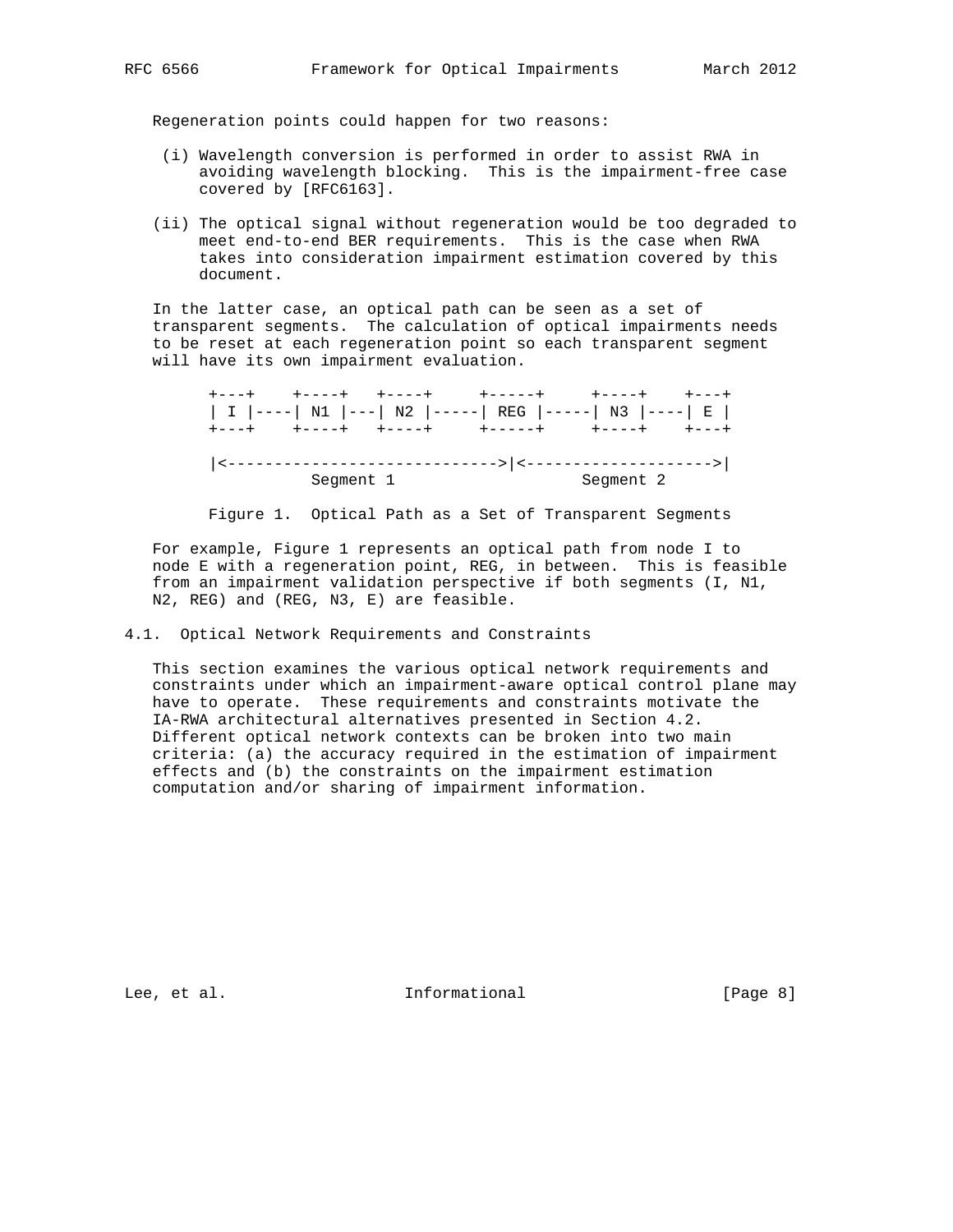Regeneration points could happen for two reasons:

- (i) Wavelength conversion is performed in order to assist RWA in avoiding wavelength blocking. This is the impairment-free case covered by [RFC6163].
- (ii) The optical signal without regeneration would be too degraded to meet end-to-end BER requirements. This is the case when RWA takes into consideration impairment estimation covered by this document.

 In the latter case, an optical path can be seen as a set of transparent segments. The calculation of optical impairments needs to be reset at each regeneration point so each transparent segment will have its own impairment evaluation.

 +---+ +----+ +----+ +-----+ +----+ +---+ | I |----| N1 |---| N2 |-----| REG |-----| N3 |----| E | +---+ +----+ +----+ +-----+ +----+ +---+ |<----------------------------->|<-------------------->| Segment 1 Segment 2

Figure 1. Optical Path as a Set of Transparent Segments

 For example, Figure 1 represents an optical path from node I to node E with a regeneration point, REG, in between. This is feasible from an impairment validation perspective if both segments (I, N1, N2, REG) and (REG, N3, E) are feasible.

4.1. Optical Network Requirements and Constraints

 This section examines the various optical network requirements and constraints under which an impairment-aware optical control plane may have to operate. These requirements and constraints motivate the IA-RWA architectural alternatives presented in Section 4.2. Different optical network contexts can be broken into two main criteria: (a) the accuracy required in the estimation of impairment effects and (b) the constraints on the impairment estimation computation and/or sharing of impairment information.

Lee, et al. Informational [Page 8]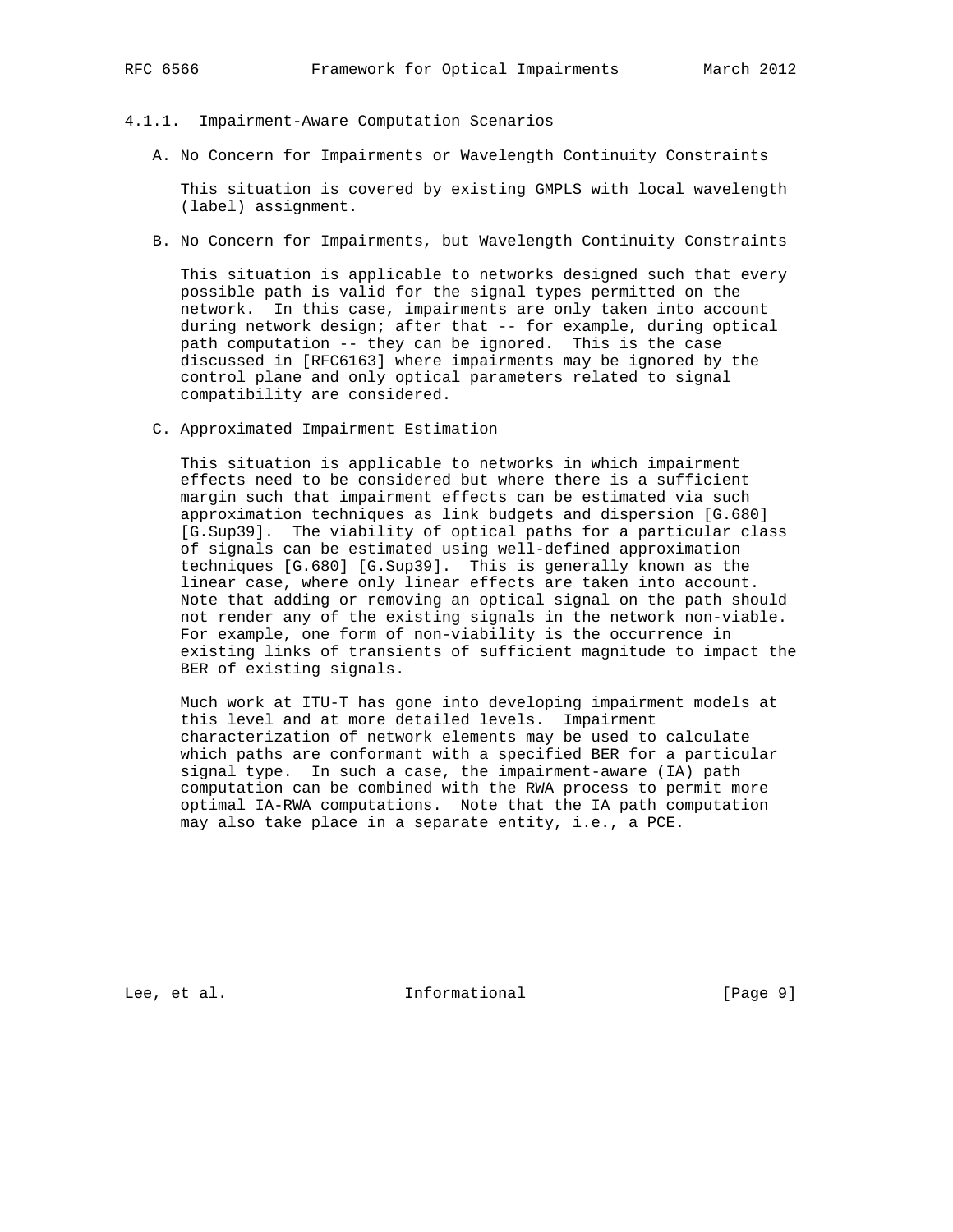## 4.1.1. Impairment-Aware Computation Scenarios

A. No Concern for Impairments or Wavelength Continuity Constraints

 This situation is covered by existing GMPLS with local wavelength (label) assignment.

B. No Concern for Impairments, but Wavelength Continuity Constraints

 This situation is applicable to networks designed such that every possible path is valid for the signal types permitted on the network. In this case, impairments are only taken into account during network design; after that -- for example, during optical path computation -- they can be ignored. This is the case discussed in [RFC6163] where impairments may be ignored by the control plane and only optical parameters related to signal compatibility are considered.

C. Approximated Impairment Estimation

 This situation is applicable to networks in which impairment effects need to be considered but where there is a sufficient margin such that impairment effects can be estimated via such approximation techniques as link budgets and dispersion [G.680] [G.Sup39]. The viability of optical paths for a particular class of signals can be estimated using well-defined approximation techniques [G.680] [G.Sup39]. This is generally known as the linear case, where only linear effects are taken into account. Note that adding or removing an optical signal on the path should not render any of the existing signals in the network non-viable. For example, one form of non-viability is the occurrence in existing links of transients of sufficient magnitude to impact the BER of existing signals.

 Much work at ITU-T has gone into developing impairment models at this level and at more detailed levels. Impairment characterization of network elements may be used to calculate which paths are conformant with a specified BER for a particular signal type. In such a case, the impairment-aware (IA) path computation can be combined with the RWA process to permit more optimal IA-RWA computations. Note that the IA path computation may also take place in a separate entity, i.e., a PCE.

Lee, et al. Informational [Page 9]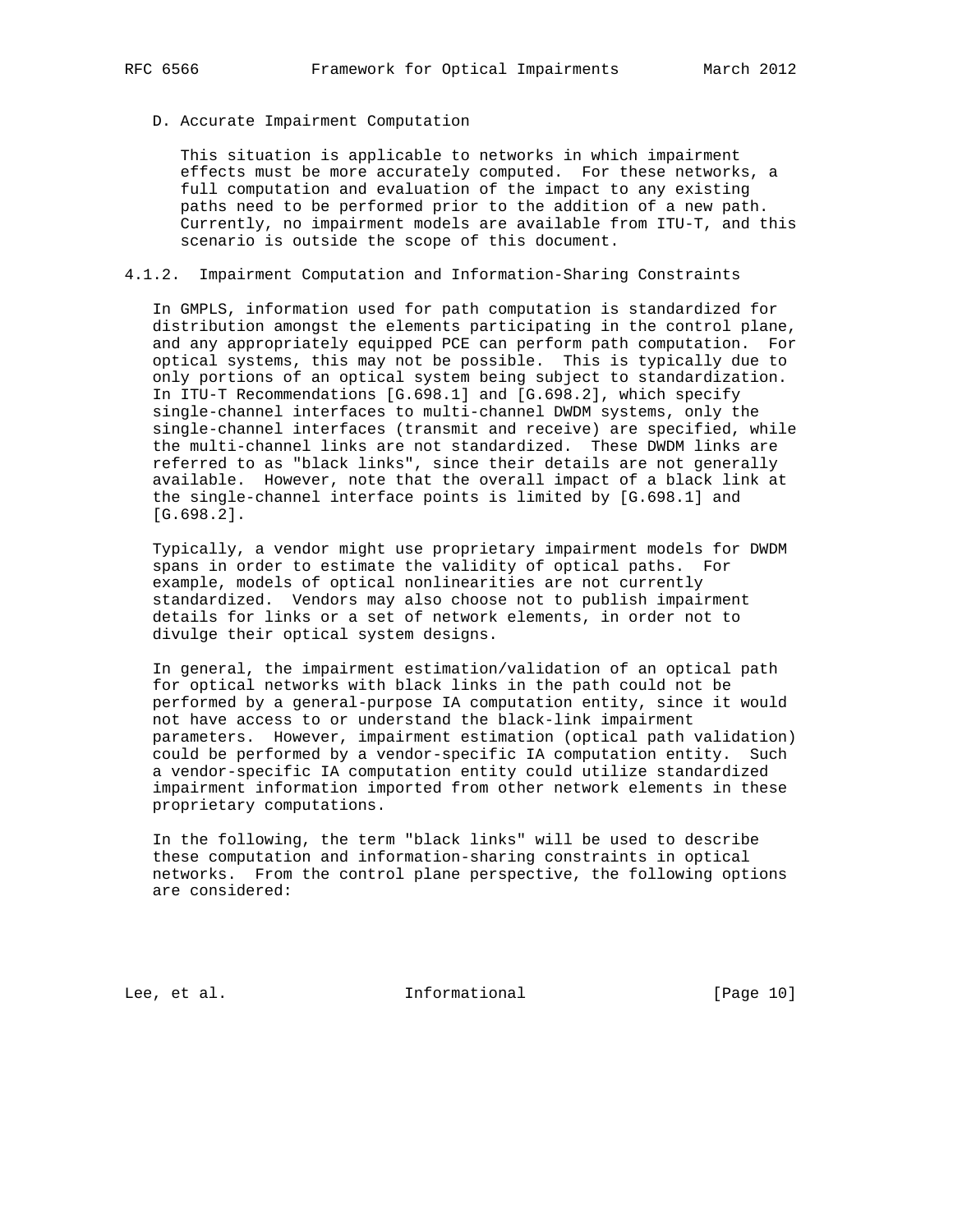## D. Accurate Impairment Computation

 This situation is applicable to networks in which impairment effects must be more accurately computed. For these networks, a full computation and evaluation of the impact to any existing paths need to be performed prior to the addition of a new path. Currently, no impairment models are available from ITU-T, and this scenario is outside the scope of this document.

# 4.1.2. Impairment Computation and Information-Sharing Constraints

 In GMPLS, information used for path computation is standardized for distribution amongst the elements participating in the control plane, and any appropriately equipped PCE can perform path computation. For optical systems, this may not be possible. This is typically due to only portions of an optical system being subject to standardization. In ITU-T Recommendations [G.698.1] and [G.698.2], which specify single-channel interfaces to multi-channel DWDM systems, only the single-channel interfaces (transmit and receive) are specified, while the multi-channel links are not standardized. These DWDM links are referred to as "black links", since their details are not generally available. However, note that the overall impact of a black link at the single-channel interface points is limited by [G.698.1] and [G.698.2].

 Typically, a vendor might use proprietary impairment models for DWDM spans in order to estimate the validity of optical paths. For example, models of optical nonlinearities are not currently standardized. Vendors may also choose not to publish impairment details for links or a set of network elements, in order not to divulge their optical system designs.

 In general, the impairment estimation/validation of an optical path for optical networks with black links in the path could not be performed by a general-purpose IA computation entity, since it would not have access to or understand the black-link impairment parameters. However, impairment estimation (optical path validation) could be performed by a vendor-specific IA computation entity. Such a vendor-specific IA computation entity could utilize standardized impairment information imported from other network elements in these proprietary computations.

 In the following, the term "black links" will be used to describe these computation and information-sharing constraints in optical networks. From the control plane perspective, the following options are considered:

Lee, et al. 10 mm informational [Page 10]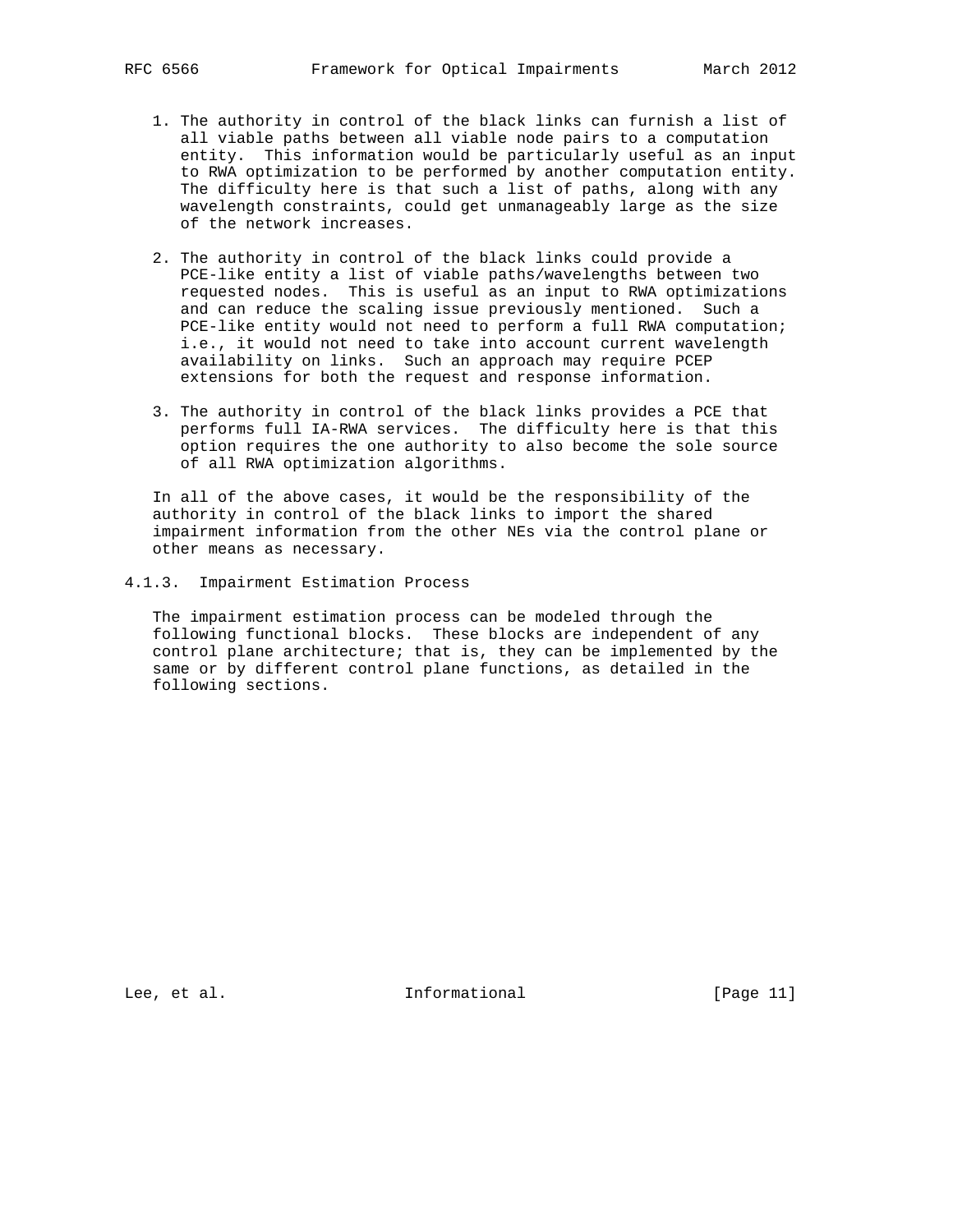- 1. The authority in control of the black links can furnish a list of all viable paths between all viable node pairs to a computation entity. This information would be particularly useful as an input to RWA optimization to be performed by another computation entity. The difficulty here is that such a list of paths, along with any wavelength constraints, could get unmanageably large as the size of the network increases.
- 2. The authority in control of the black links could provide a PCE-like entity a list of viable paths/wavelengths between two requested nodes. This is useful as an input to RWA optimizations and can reduce the scaling issue previously mentioned. Such a PCE-like entity would not need to perform a full RWA computation; i.e., it would not need to take into account current wavelength availability on links. Such an approach may require PCEP extensions for both the request and response information.
- 3. The authority in control of the black links provides a PCE that performs full IA-RWA services. The difficulty here is that this option requires the one authority to also become the sole source of all RWA optimization algorithms.

 In all of the above cases, it would be the responsibility of the authority in control of the black links to import the shared impairment information from the other NEs via the control plane or other means as necessary.

4.1.3. Impairment Estimation Process

 The impairment estimation process can be modeled through the following functional blocks. These blocks are independent of any control plane architecture; that is, they can be implemented by the same or by different control plane functions, as detailed in the following sections.

Lee, et al. 10. Informational [Page 11]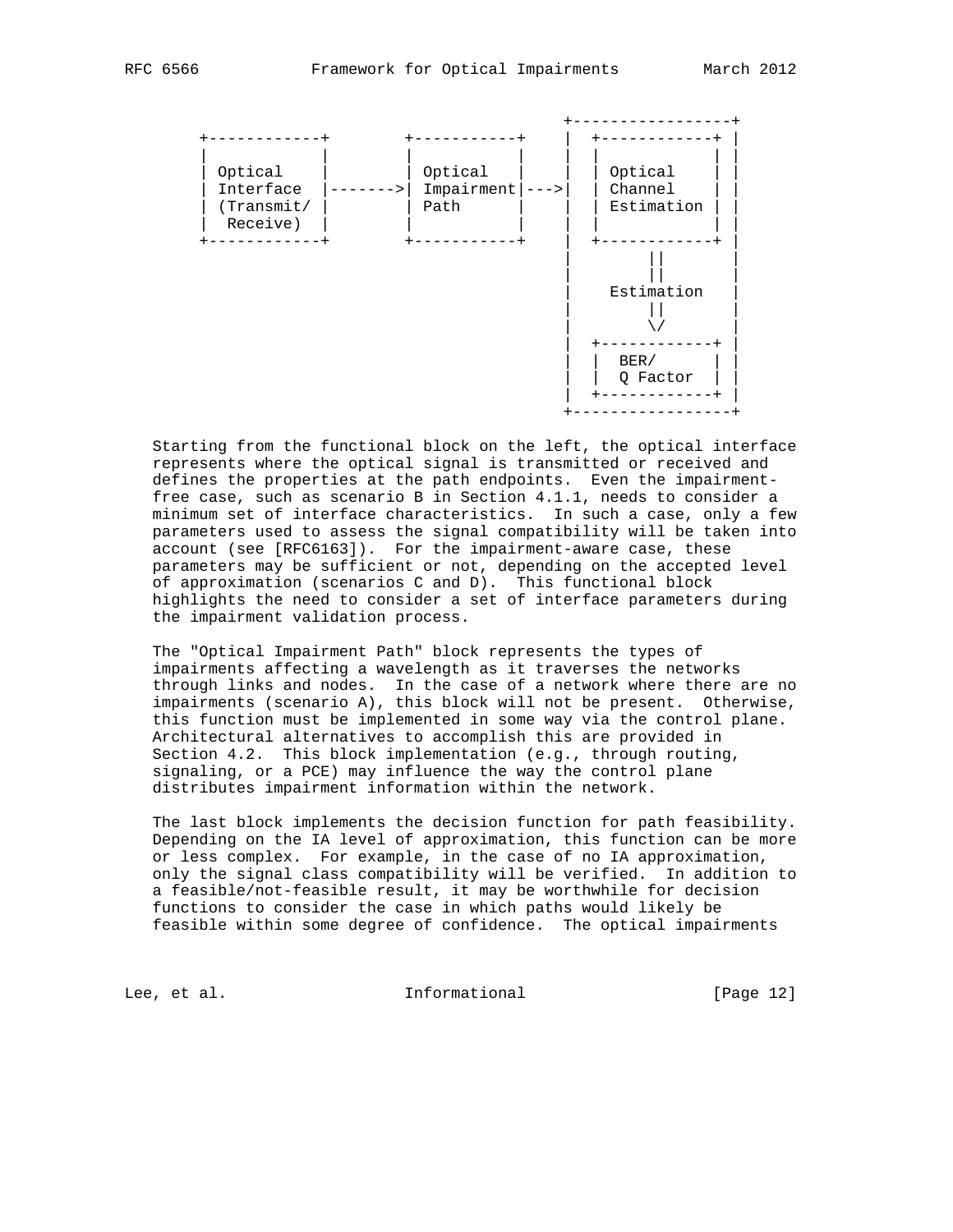

 Starting from the functional block on the left, the optical interface represents where the optical signal is transmitted or received and defines the properties at the path endpoints. Even the impairment free case, such as scenario B in Section 4.1.1, needs to consider a minimum set of interface characteristics. In such a case, only a few parameters used to assess the signal compatibility will be taken into account (see [RFC6163]). For the impairment-aware case, these parameters may be sufficient or not, depending on the accepted level of approximation (scenarios C and D). This functional block highlights the need to consider a set of interface parameters during the impairment validation process.

 The "Optical Impairment Path" block represents the types of impairments affecting a wavelength as it traverses the networks through links and nodes. In the case of a network where there are no impairments (scenario A), this block will not be present. Otherwise, this function must be implemented in some way via the control plane. Architectural alternatives to accomplish this are provided in Section 4.2. This block implementation (e.g., through routing, signaling, or a PCE) may influence the way the control plane distributes impairment information within the network.

 The last block implements the decision function for path feasibility. Depending on the IA level of approximation, this function can be more or less complex. For example, in the case of no IA approximation, only the signal class compatibility will be verified. In addition to a feasible/not-feasible result, it may be worthwhile for decision functions to consider the case in which paths would likely be feasible within some degree of confidence. The optical impairments

Lee, et al. 10 mm informational [Page 12]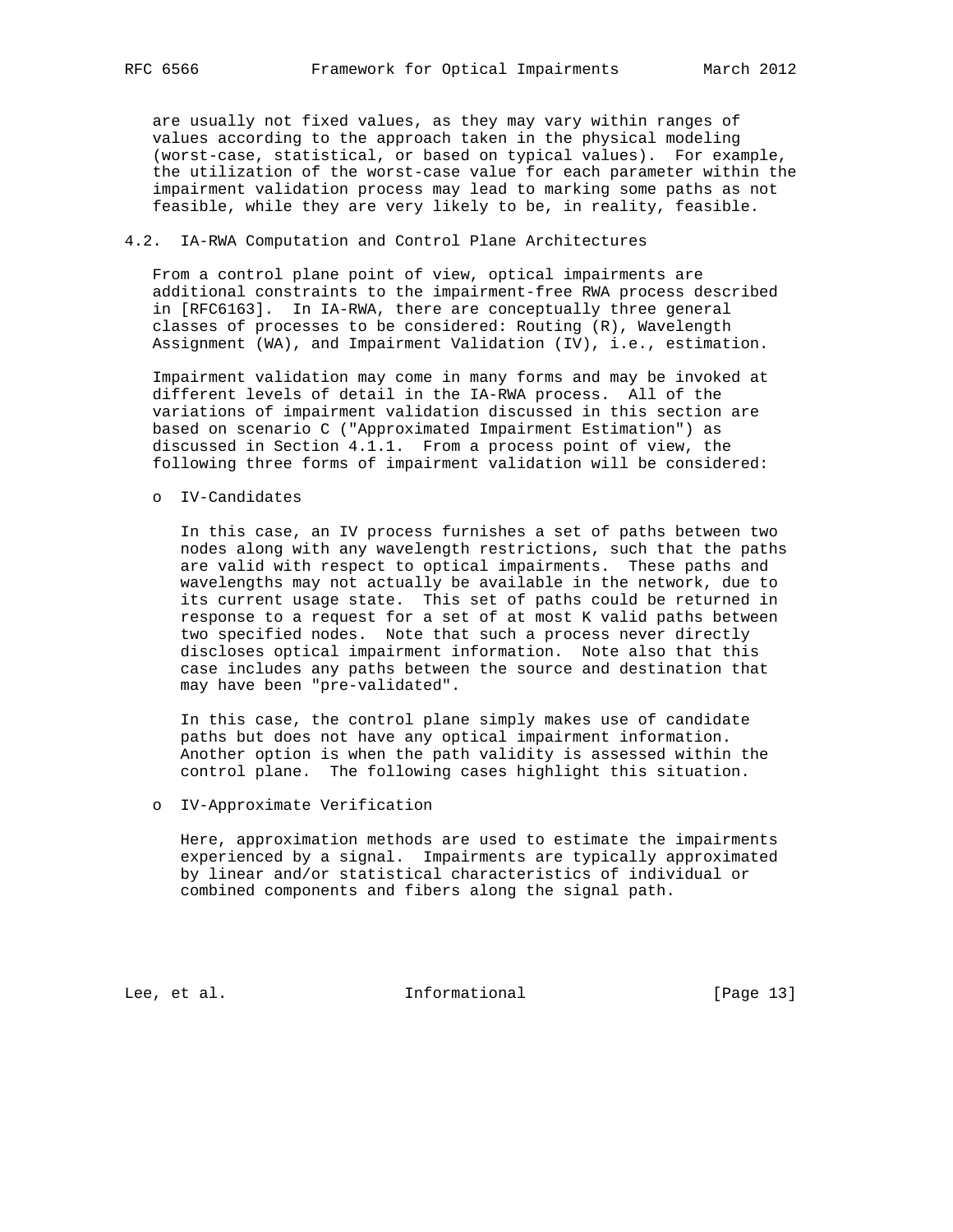are usually not fixed values, as they may vary within ranges of values according to the approach taken in the physical modeling (worst-case, statistical, or based on typical values). For example, the utilization of the worst-case value for each parameter within the impairment validation process may lead to marking some paths as not feasible, while they are very likely to be, in reality, feasible.

## 4.2. IA-RWA Computation and Control Plane Architectures

 From a control plane point of view, optical impairments are additional constraints to the impairment-free RWA process described in [RFC6163]. In IA-RWA, there are conceptually three general classes of processes to be considered: Routing (R), Wavelength Assignment (WA), and Impairment Validation (IV), i.e., estimation.

 Impairment validation may come in many forms and may be invoked at different levels of detail in the IA-RWA process. All of the variations of impairment validation discussed in this section are based on scenario C ("Approximated Impairment Estimation") as discussed in Section 4.1.1. From a process point of view, the following three forms of impairment validation will be considered:

o IV-Candidates

 In this case, an IV process furnishes a set of paths between two nodes along with any wavelength restrictions, such that the paths are valid with respect to optical impairments. These paths and wavelengths may not actually be available in the network, due to its current usage state. This set of paths could be returned in response to a request for a set of at most K valid paths between two specified nodes. Note that such a process never directly discloses optical impairment information. Note also that this case includes any paths between the source and destination that may have been "pre-validated".

 In this case, the control plane simply makes use of candidate paths but does not have any optical impairment information. Another option is when the path validity is assessed within the control plane. The following cases highlight this situation.

o IV-Approximate Verification

 Here, approximation methods are used to estimate the impairments experienced by a signal. Impairments are typically approximated by linear and/or statistical characteristics of individual or combined components and fibers along the signal path.

Lee, et al. 10 mm informational [Page 13]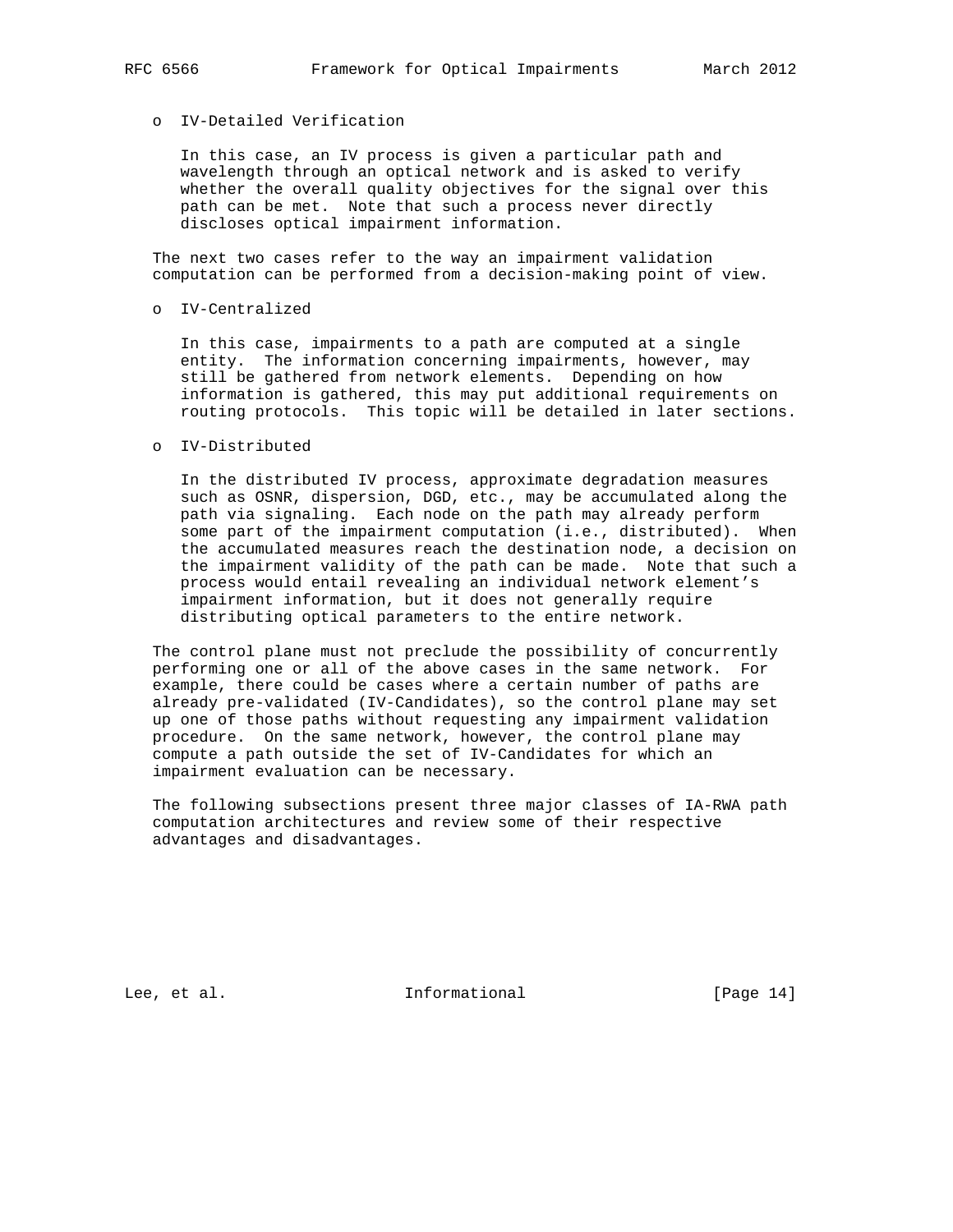# o IV-Detailed Verification

 In this case, an IV process is given a particular path and wavelength through an optical network and is asked to verify whether the overall quality objectives for the signal over this path can be met. Note that such a process never directly discloses optical impairment information.

 The next two cases refer to the way an impairment validation computation can be performed from a decision-making point of view.

o IV-Centralized

 In this case, impairments to a path are computed at a single entity. The information concerning impairments, however, may still be gathered from network elements. Depending on how information is gathered, this may put additional requirements on routing protocols. This topic will be detailed in later sections.

o IV-Distributed

 In the distributed IV process, approximate degradation measures such as OSNR, dispersion, DGD, etc., may be accumulated along the path via signaling. Each node on the path may already perform some part of the impairment computation (i.e., distributed). When the accumulated measures reach the destination node, a decision on the impairment validity of the path can be made. Note that such a process would entail revealing an individual network element's impairment information, but it does not generally require distributing optical parameters to the entire network.

 The control plane must not preclude the possibility of concurrently performing one or all of the above cases in the same network. For example, there could be cases where a certain number of paths are already pre-validated (IV-Candidates), so the control plane may set up one of those paths without requesting any impairment validation procedure. On the same network, however, the control plane may compute a path outside the set of IV-Candidates for which an impairment evaluation can be necessary.

 The following subsections present three major classes of IA-RWA path computation architectures and review some of their respective advantages and disadvantages.

Lee, et al. 10. Informational [Page 14]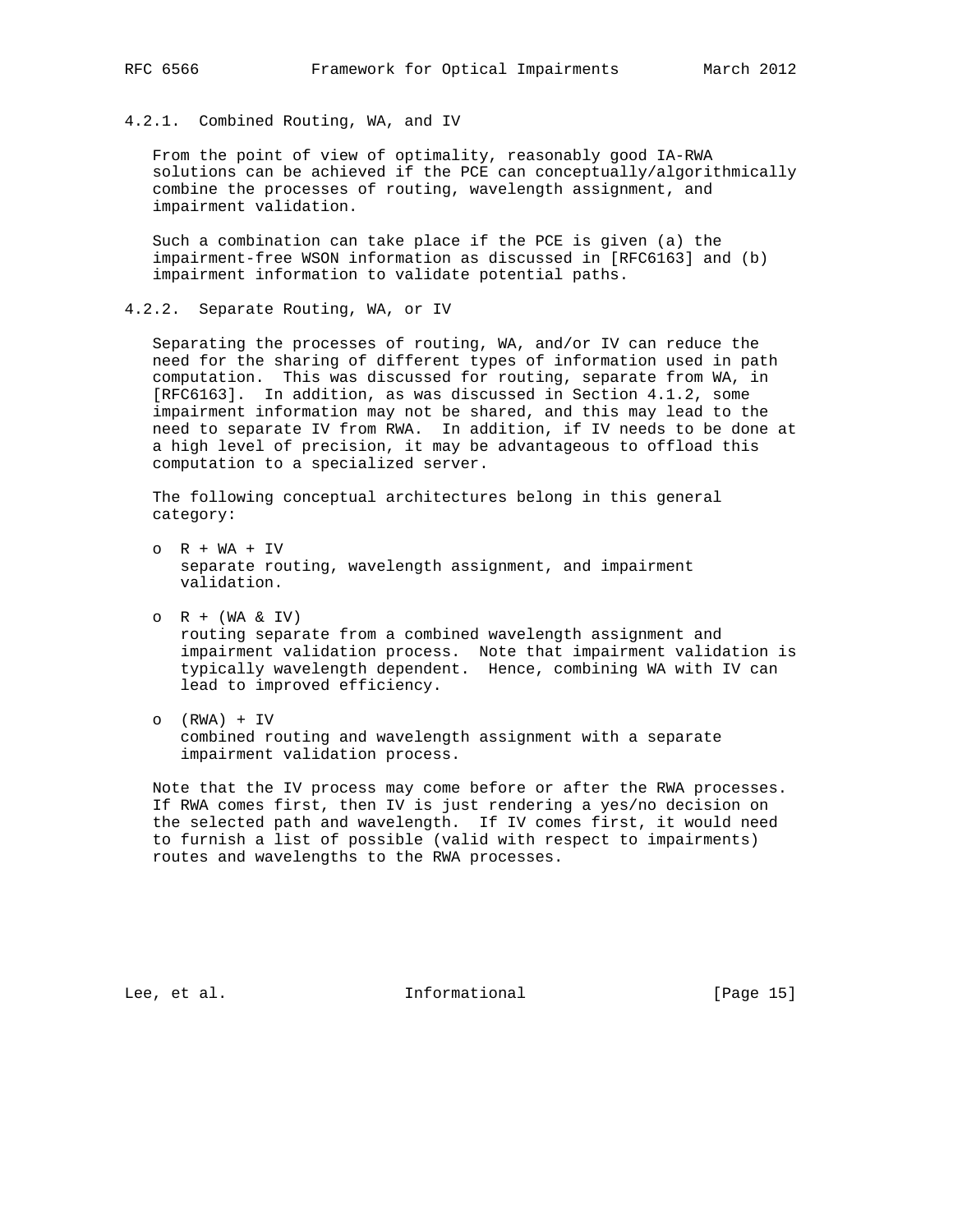## 4.2.1. Combined Routing, WA, and IV

 From the point of view of optimality, reasonably good IA-RWA solutions can be achieved if the PCE can conceptually/algorithmically combine the processes of routing, wavelength assignment, and impairment validation.

 Such a combination can take place if the PCE is given (a) the impairment-free WSON information as discussed in [RFC6163] and (b) impairment information to validate potential paths.

4.2.2. Separate Routing, WA, or IV

 Separating the processes of routing, WA, and/or IV can reduce the need for the sharing of different types of information used in path computation. This was discussed for routing, separate from WA, in [RFC6163]. In addition, as was discussed in Section 4.1.2, some impairment information may not be shared, and this may lead to the need to separate IV from RWA. In addition, if IV needs to be done at a high level of precision, it may be advantageous to offload this computation to a specialized server.

 The following conceptual architectures belong in this general category:

- o R + WA + IV separate routing, wavelength assignment, and impairment validation.
- $O$  R + (WA & IV) routing separate from a combined wavelength assignment and impairment validation process. Note that impairment validation is typically wavelength dependent. Hence, combining WA with IV can lead to improved efficiency.
- o (RWA) + IV combined routing and wavelength assignment with a separate impairment validation process.

 Note that the IV process may come before or after the RWA processes. If RWA comes first, then IV is just rendering a yes/no decision on the selected path and wavelength. If IV comes first, it would need to furnish a list of possible (valid with respect to impairments) routes and wavelengths to the RWA processes.

Lee, et al. Informational [Page 15]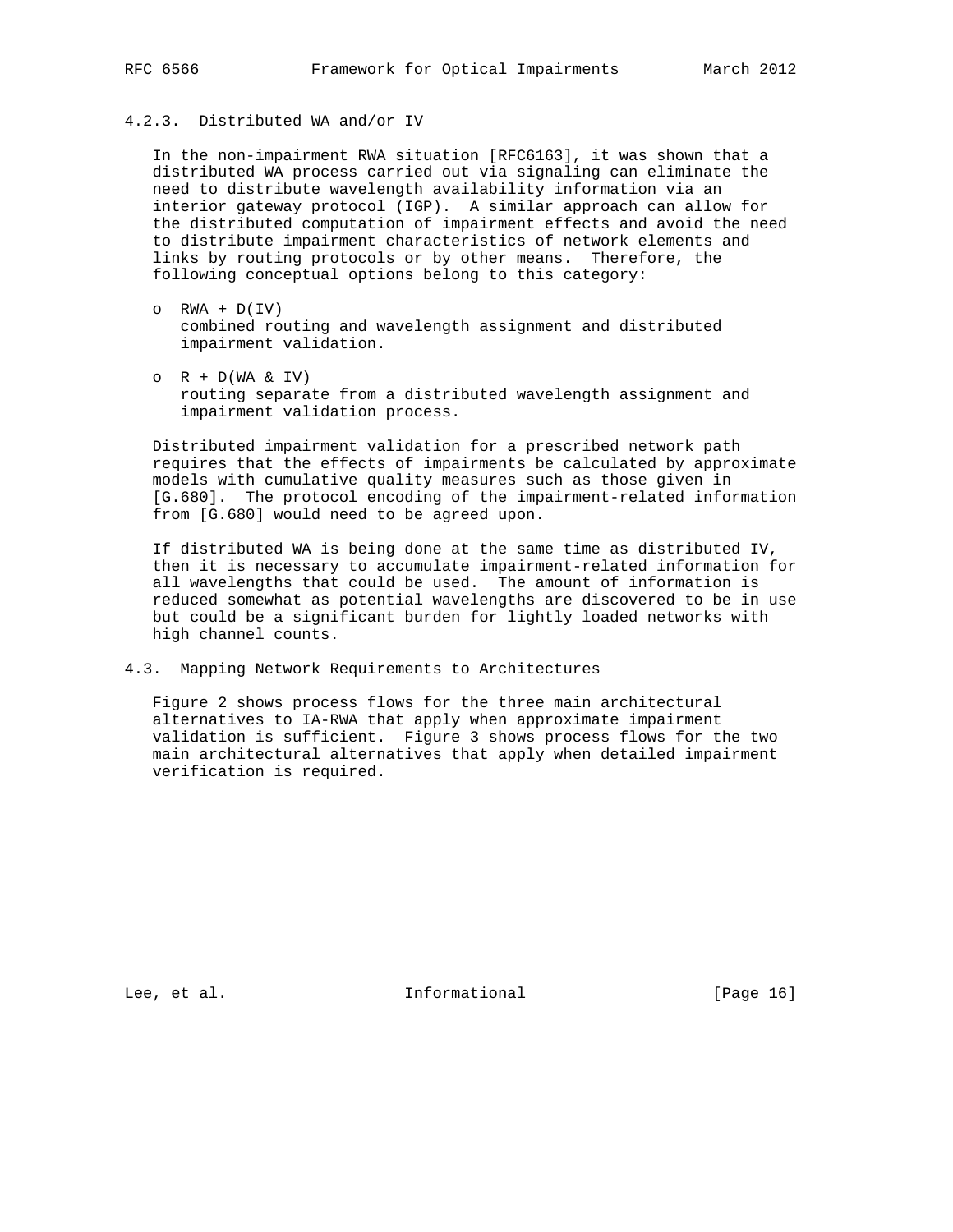# 4.2.3. Distributed WA and/or IV

 In the non-impairment RWA situation [RFC6163], it was shown that a distributed WA process carried out via signaling can eliminate the need to distribute wavelength availability information via an interior gateway protocol (IGP). A similar approach can allow for the distributed computation of impairment effects and avoid the need to distribute impairment characteristics of network elements and links by routing protocols or by other means. Therefore, the following conceptual options belong to this category:

- $O$  RWA +  $D(IV)$  combined routing and wavelength assignment and distributed impairment validation.
- $O$  R + D(WA & IV) routing separate from a distributed wavelength assignment and impairment validation process.

 Distributed impairment validation for a prescribed network path requires that the effects of impairments be calculated by approximate models with cumulative quality measures such as those given in [G.680]. The protocol encoding of the impairment-related information from [G.680] would need to be agreed upon.

 If distributed WA is being done at the same time as distributed IV, then it is necessary to accumulate impairment-related information for all wavelengths that could be used. The amount of information is reduced somewhat as potential wavelengths are discovered to be in use but could be a significant burden for lightly loaded networks with high channel counts.

4.3. Mapping Network Requirements to Architectures

 Figure 2 shows process flows for the three main architectural alternatives to IA-RWA that apply when approximate impairment validation is sufficient. Figure 3 shows process flows for the two main architectural alternatives that apply when detailed impairment verification is required.

Lee, et al. Informational [Page 16]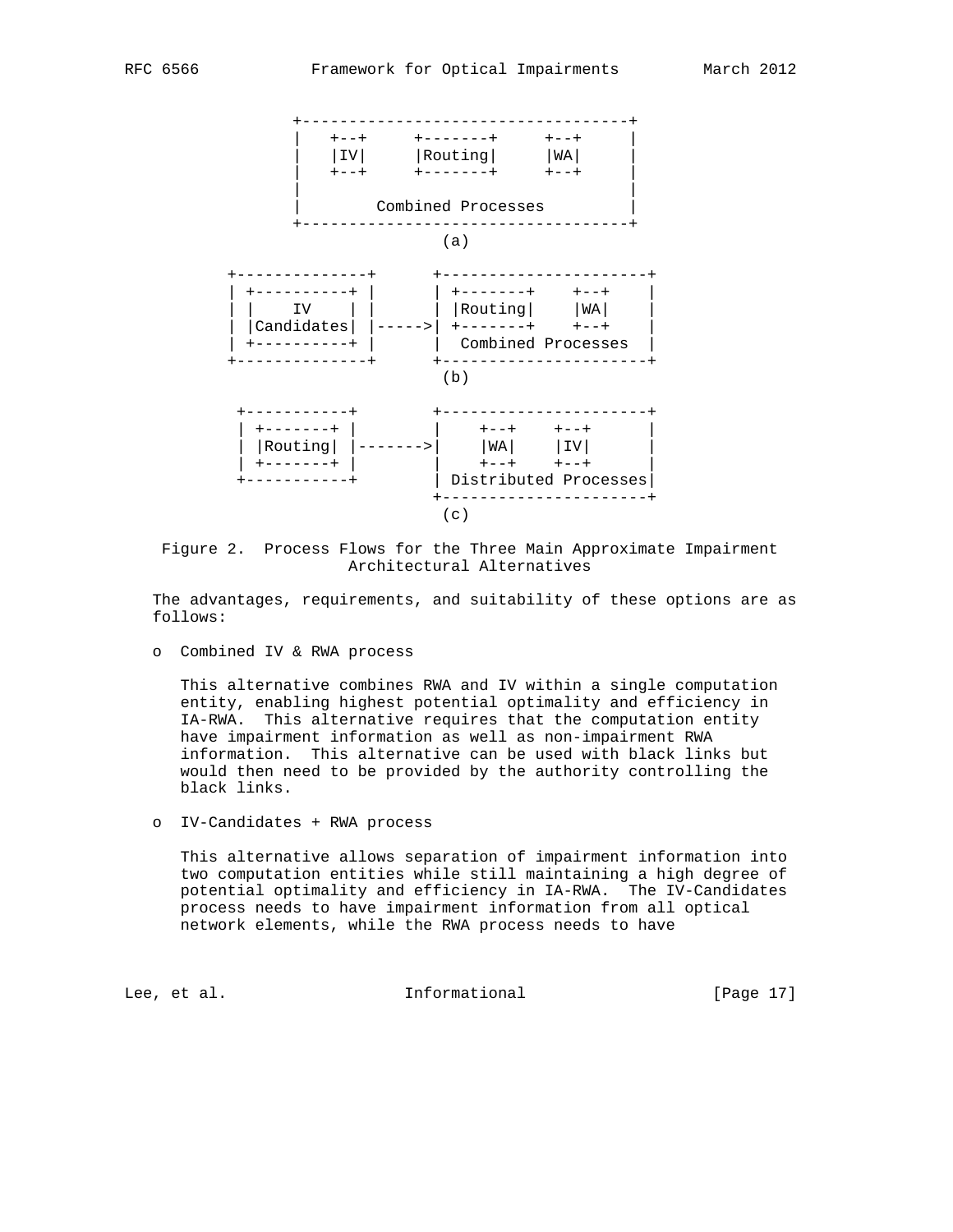

 Figure 2. Process Flows for the Three Main Approximate Impairment Architectural Alternatives

 The advantages, requirements, and suitability of these options are as follows:

o Combined IV & RWA process

 This alternative combines RWA and IV within a single computation entity, enabling highest potential optimality and efficiency in IA-RWA. This alternative requires that the computation entity have impairment information as well as non-impairment RWA information. This alternative can be used with black links but would then need to be provided by the authority controlling the black links.

o IV-Candidates + RWA process

 This alternative allows separation of impairment information into two computation entities while still maintaining a high degree of potential optimality and efficiency in IA-RWA. The IV-Candidates process needs to have impairment information from all optical network elements, while the RWA process needs to have

Lee, et al. 10 mm informational [Page 17]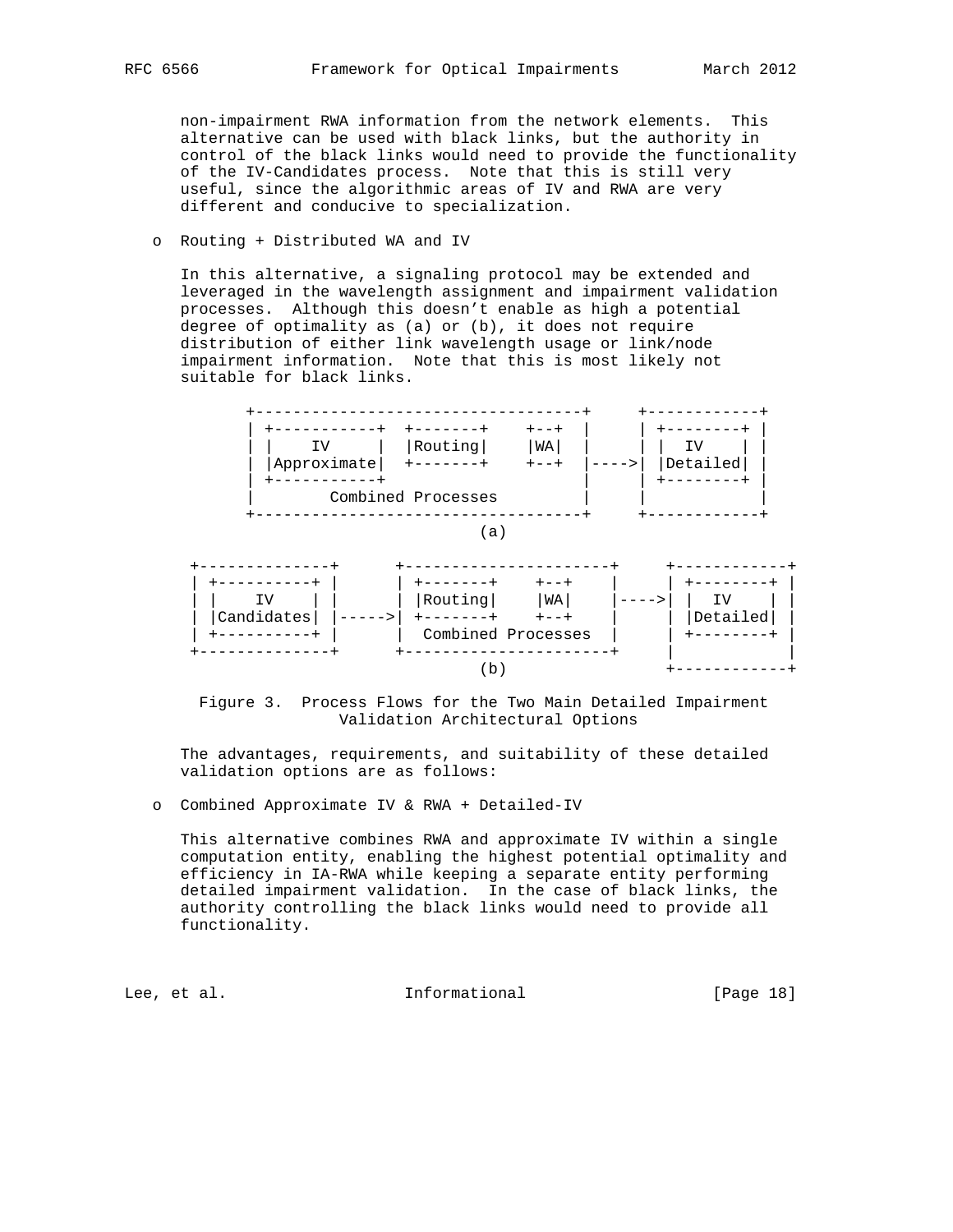non-impairment RWA information from the network elements. This alternative can be used with black links, but the authority in control of the black links would need to provide the functionality of the IV-Candidates process. Note that this is still very useful, since the algorithmic areas of IV and RWA are very different and conducive to specialization.

## o Routing + Distributed WA and IV

 In this alternative, a signaling protocol may be extended and leveraged in the wavelength assignment and impairment validation processes. Although this doesn't enable as high a potential degree of optimality as (a) or (b), it does not require distribution of either link wavelength usage or link/node impairment information. Note that this is most likely not suitable for black links.





 The advantages, requirements, and suitability of these detailed validation options are as follows:

o Combined Approximate IV & RWA + Detailed-IV

 This alternative combines RWA and approximate IV within a single computation entity, enabling the highest potential optimality and efficiency in IA-RWA while keeping a separate entity performing detailed impairment validation. In the case of black links, the authority controlling the black links would need to provide all functionality.

Lee, et al. 10 mm informational [Page 18]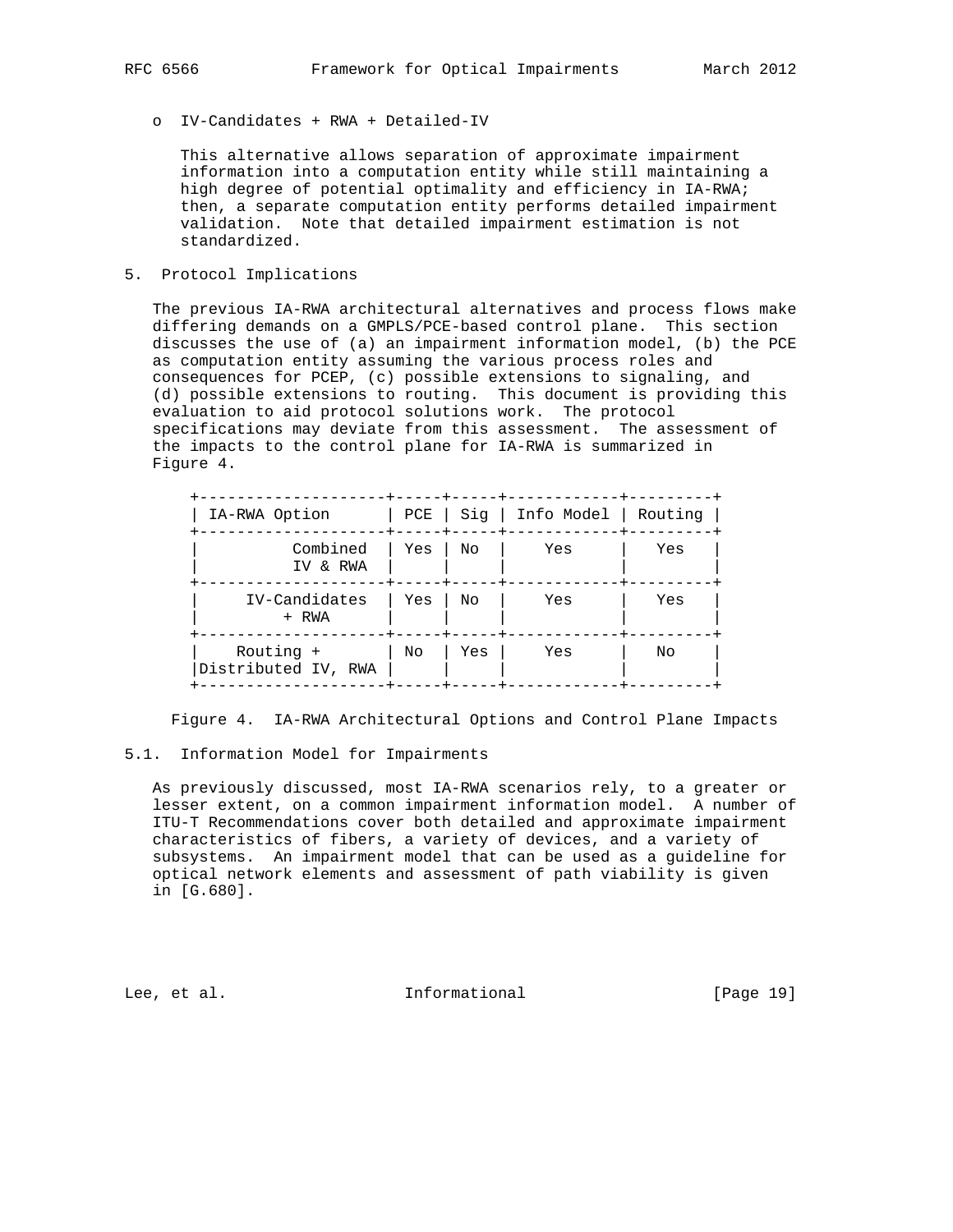o IV-Candidates + RWA + Detailed-IV

 This alternative allows separation of approximate impairment information into a computation entity while still maintaining a high degree of potential optimality and efficiency in IA-RWA; then, a separate computation entity performs detailed impairment validation. Note that detailed impairment estimation is not standardized.

5. Protocol Implications

 The previous IA-RWA architectural alternatives and process flows make differing demands on a GMPLS/PCE-based control plane. This section discusses the use of (a) an impairment information model, (b) the PCE as computation entity assuming the various process roles and consequences for PCEP, (c) possible extensions to signaling, and (d) possible extensions to routing. This document is providing this evaluation to aid protocol solutions work. The protocol specifications may deviate from this assessment. The assessment of the impacts to the control plane for IA-RWA is summarized in Figure 4.

| IA-RWA Option                    | PCE |     | Sig   Info Model   Routing |     |
|----------------------------------|-----|-----|----------------------------|-----|
| Combined<br>IV & RWA             | Yes | No  | Yes                        | Yes |
| IV-Candidates<br>+ RWA           | Yes | No  | Yes                        | Yes |
| Routing +<br>Distributed IV, RWA | No  | Yes | Yes                        | No  |

Figure 4. IA-RWA Architectural Options and Control Plane Impacts

### 5.1. Information Model for Impairments

 As previously discussed, most IA-RWA scenarios rely, to a greater or lesser extent, on a common impairment information model. A number of ITU-T Recommendations cover both detailed and approximate impairment characteristics of fibers, a variety of devices, and a variety of subsystems. An impairment model that can be used as a guideline for optical network elements and assessment of path viability is given in [G.680].

Lee, et al. Informational [Page 19]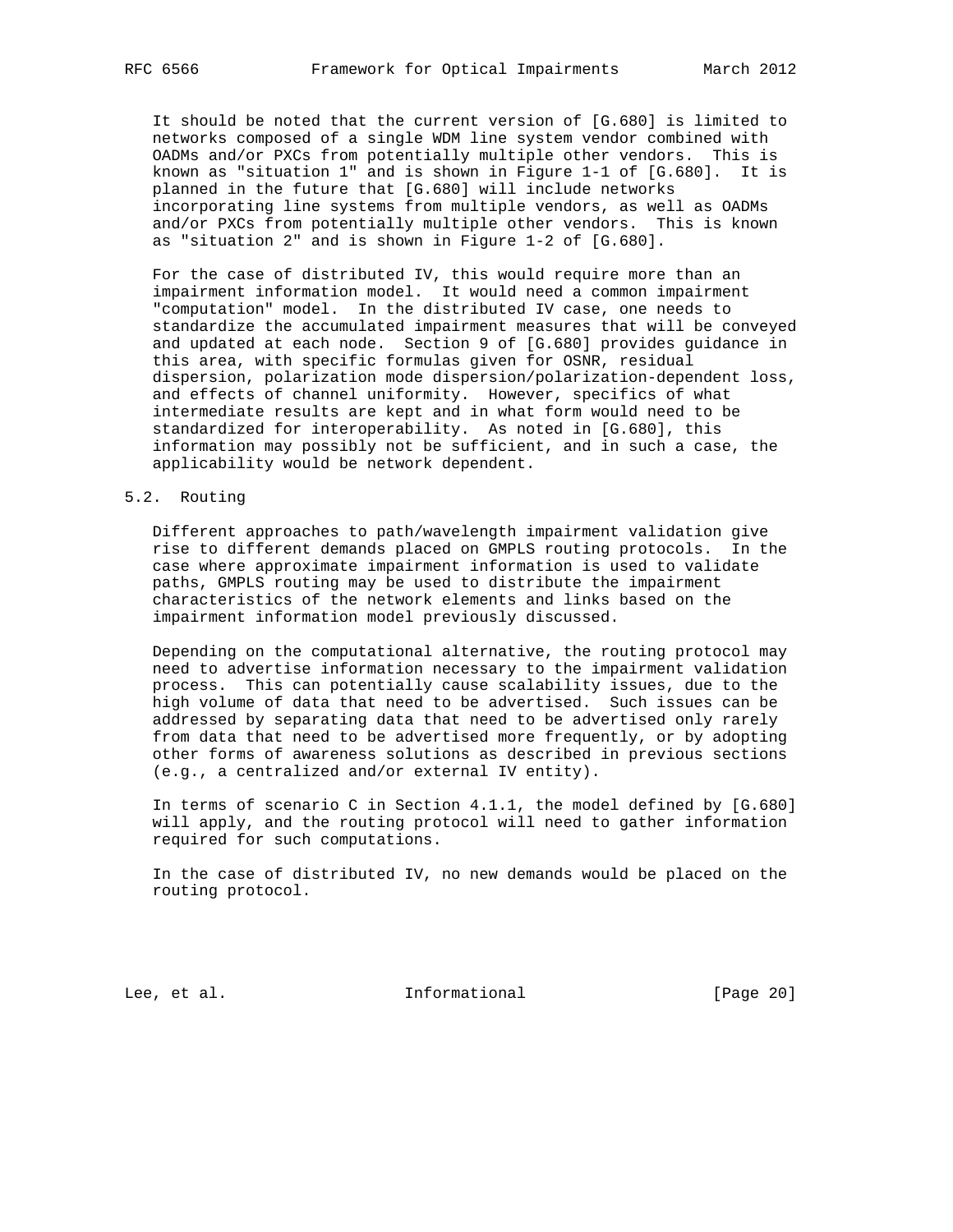It should be noted that the current version of [G.680] is limited to networks composed of a single WDM line system vendor combined with OADMs and/or PXCs from potentially multiple other vendors. This is known as "situation 1" and is shown in Figure 1-1 of [G.680]. It is planned in the future that [G.680] will include networks incorporating line systems from multiple vendors, as well as OADMs and/or PXCs from potentially multiple other vendors. This is known as "situation 2" and is shown in Figure 1-2 of [G.680].

 For the case of distributed IV, this would require more than an impairment information model. It would need a common impairment "computation" model. In the distributed IV case, one needs to standardize the accumulated impairment measures that will be conveyed and updated at each node. Section 9 of [G.680] provides guidance in this area, with specific formulas given for OSNR, residual dispersion, polarization mode dispersion/polarization-dependent loss, and effects of channel uniformity. However, specifics of what intermediate results are kept and in what form would need to be standardized for interoperability. As noted in [G.680], this information may possibly not be sufficient, and in such a case, the applicability would be network dependent.

## 5.2. Routing

 Different approaches to path/wavelength impairment validation give rise to different demands placed on GMPLS routing protocols. In the case where approximate impairment information is used to validate paths, GMPLS routing may be used to distribute the impairment characteristics of the network elements and links based on the impairment information model previously discussed.

 Depending on the computational alternative, the routing protocol may need to advertise information necessary to the impairment validation process. This can potentially cause scalability issues, due to the high volume of data that need to be advertised. Such issues can be addressed by separating data that need to be advertised only rarely from data that need to be advertised more frequently, or by adopting other forms of awareness solutions as described in previous sections (e.g., a centralized and/or external IV entity).

 In terms of scenario C in Section 4.1.1, the model defined by [G.680] will apply, and the routing protocol will need to gather information required for such computations.

 In the case of distributed IV, no new demands would be placed on the routing protocol.

Lee, et al. 10 mm informational [Page 20]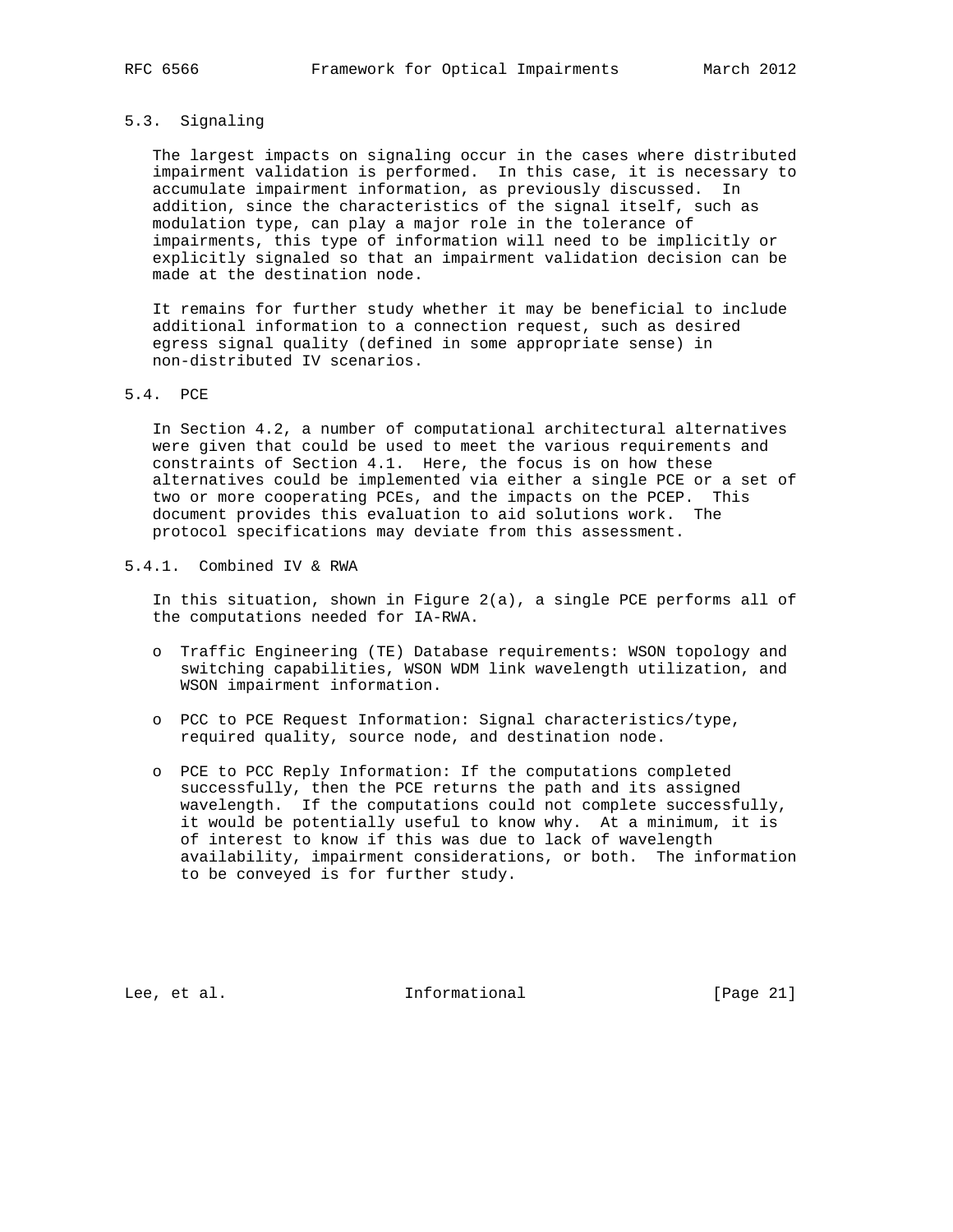# 5.3. Signaling

 The largest impacts on signaling occur in the cases where distributed impairment validation is performed. In this case, it is necessary to accumulate impairment information, as previously discussed. In addition, since the characteristics of the signal itself, such as modulation type, can play a major role in the tolerance of impairments, this type of information will need to be implicitly or explicitly signaled so that an impairment validation decision can be made at the destination node.

 It remains for further study whether it may be beneficial to include additional information to a connection request, such as desired egress signal quality (defined in some appropriate sense) in non-distributed IV scenarios.

# 5.4. PCE

 In Section 4.2, a number of computational architectural alternatives were given that could be used to meet the various requirements and constraints of Section 4.1. Here, the focus is on how these alternatives could be implemented via either a single PCE or a set of two or more cooperating PCEs, and the impacts on the PCEP. This document provides this evaluation to aid solutions work. The protocol specifications may deviate from this assessment.

5.4.1. Combined IV & RWA

 In this situation, shown in Figure 2(a), a single PCE performs all of the computations needed for IA-RWA.

- o Traffic Engineering (TE) Database requirements: WSON topology and switching capabilities, WSON WDM link wavelength utilization, and WSON impairment information.
- o PCC to PCE Request Information: Signal characteristics/type, required quality, source node, and destination node.
- o PCE to PCC Reply Information: If the computations completed successfully, then the PCE returns the path and its assigned wavelength. If the computations could not complete successfully, it would be potentially useful to know why. At a minimum, it is of interest to know if this was due to lack of wavelength availability, impairment considerations, or both. The information to be conveyed is for further study.

Lee, et al. 10 mm informational [Page 21]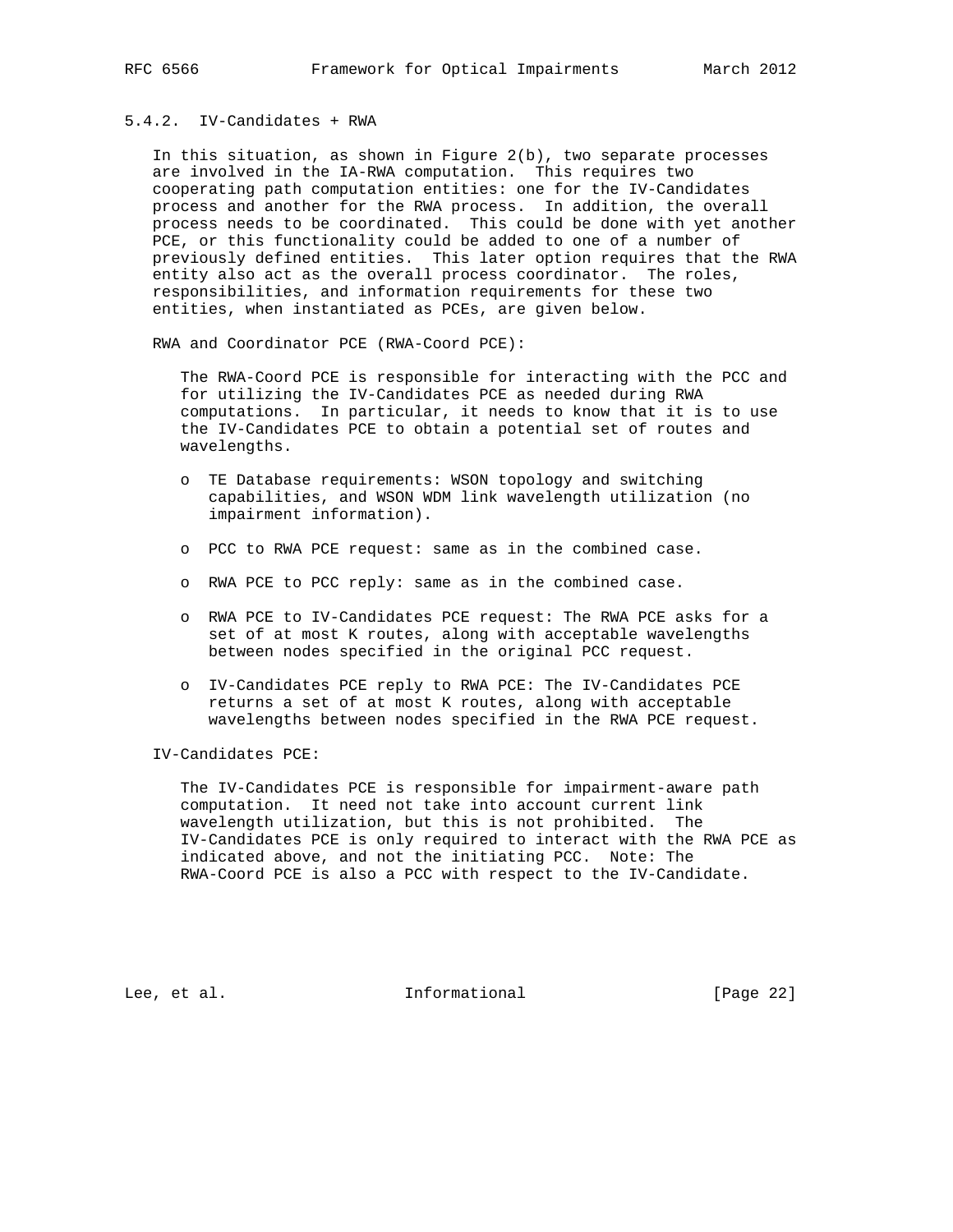# 5.4.2. IV-Candidates + RWA

In this situation, as shown in Figure  $2(b)$ , two separate processes are involved in the IA-RWA computation. This requires two cooperating path computation entities: one for the IV-Candidates process and another for the RWA process. In addition, the overall process needs to be coordinated. This could be done with yet another PCE, or this functionality could be added to one of a number of previously defined entities. This later option requires that the RWA entity also act as the overall process coordinator. The roles, responsibilities, and information requirements for these two entities, when instantiated as PCEs, are given below.

RWA and Coordinator PCE (RWA-Coord PCE):

 The RWA-Coord PCE is responsible for interacting with the PCC and for utilizing the IV-Candidates PCE as needed during RWA computations. In particular, it needs to know that it is to use the IV-Candidates PCE to obtain a potential set of routes and wavelengths.

- o TE Database requirements: WSON topology and switching capabilities, and WSON WDM link wavelength utilization (no impairment information).
- o PCC to RWA PCE request: same as in the combined case.
- o RWA PCE to PCC reply: same as in the combined case.
- o RWA PCE to IV-Candidates PCE request: The RWA PCE asks for a set of at most K routes, along with acceptable wavelengths between nodes specified in the original PCC request.
- o IV-Candidates PCE reply to RWA PCE: The IV-Candidates PCE returns a set of at most K routes, along with acceptable wavelengths between nodes specified in the RWA PCE request.

IV-Candidates PCE:

 The IV-Candidates PCE is responsible for impairment-aware path computation. It need not take into account current link wavelength utilization, but this is not prohibited. The IV-Candidates PCE is only required to interact with the RWA PCE as indicated above, and not the initiating PCC. Note: The RWA-Coord PCE is also a PCC with respect to the IV-Candidate.

Lee, et al. 1nformational [Page 22]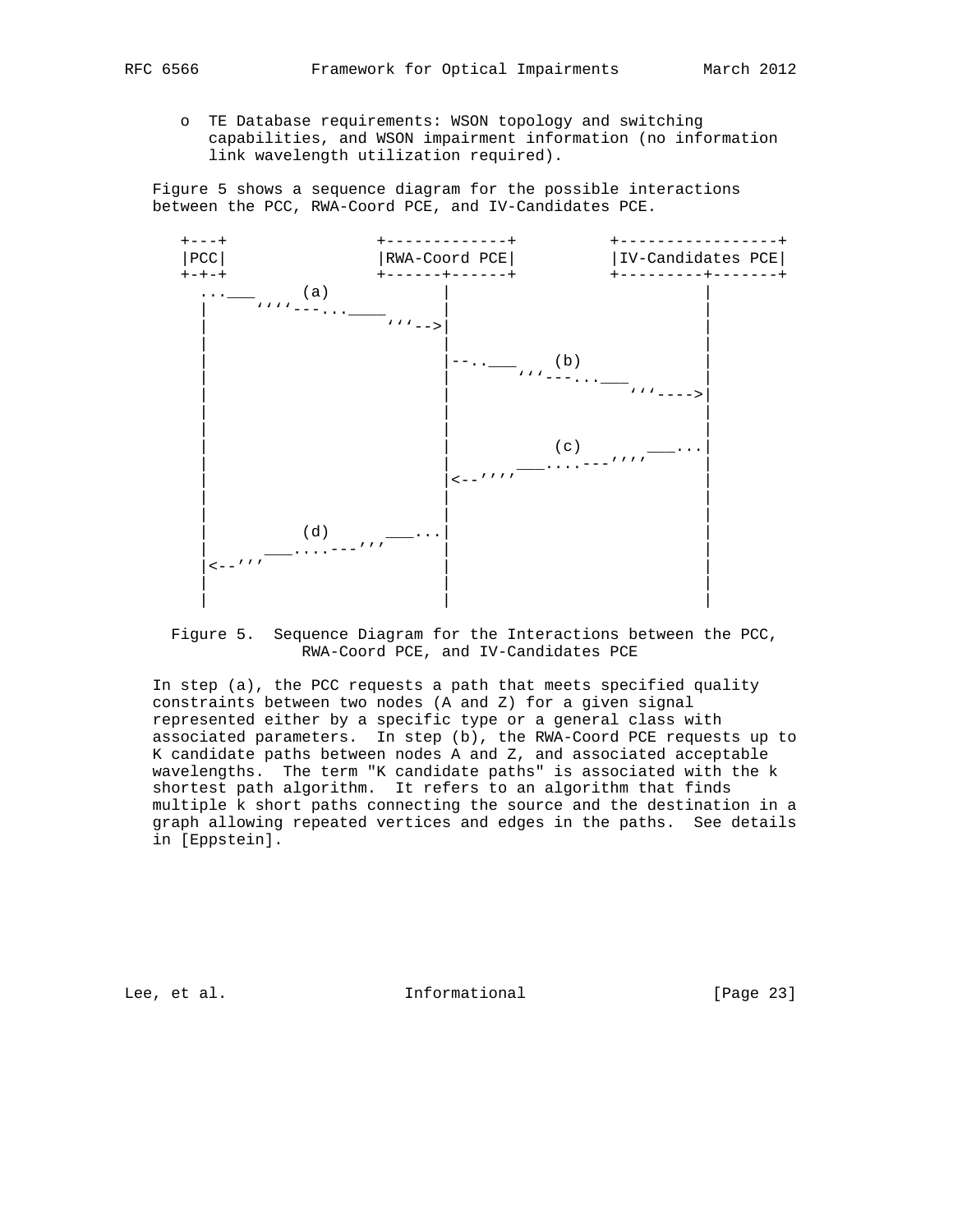o TE Database requirements: WSON topology and switching capabilities, and WSON impairment information (no information link wavelength utilization required).

 Figure 5 shows a sequence diagram for the possible interactions between the PCC, RWA-Coord PCE, and IV-Candidates PCE.



 Figure 5. Sequence Diagram for the Interactions between the PCC, RWA-Coord PCE, and IV-Candidates PCE

 In step (a), the PCC requests a path that meets specified quality constraints between two nodes (A and Z) for a given signal represented either by a specific type or a general class with associated parameters. In step (b), the RWA-Coord PCE requests up to K candidate paths between nodes A and Z, and associated acceptable wavelengths. The term "K candidate paths" is associated with the k shortest path algorithm. It refers to an algorithm that finds multiple k short paths connecting the source and the destination in a graph allowing repeated vertices and edges in the paths. See details in [Eppstein].

Lee, et al. 10 mm informational [Page 23]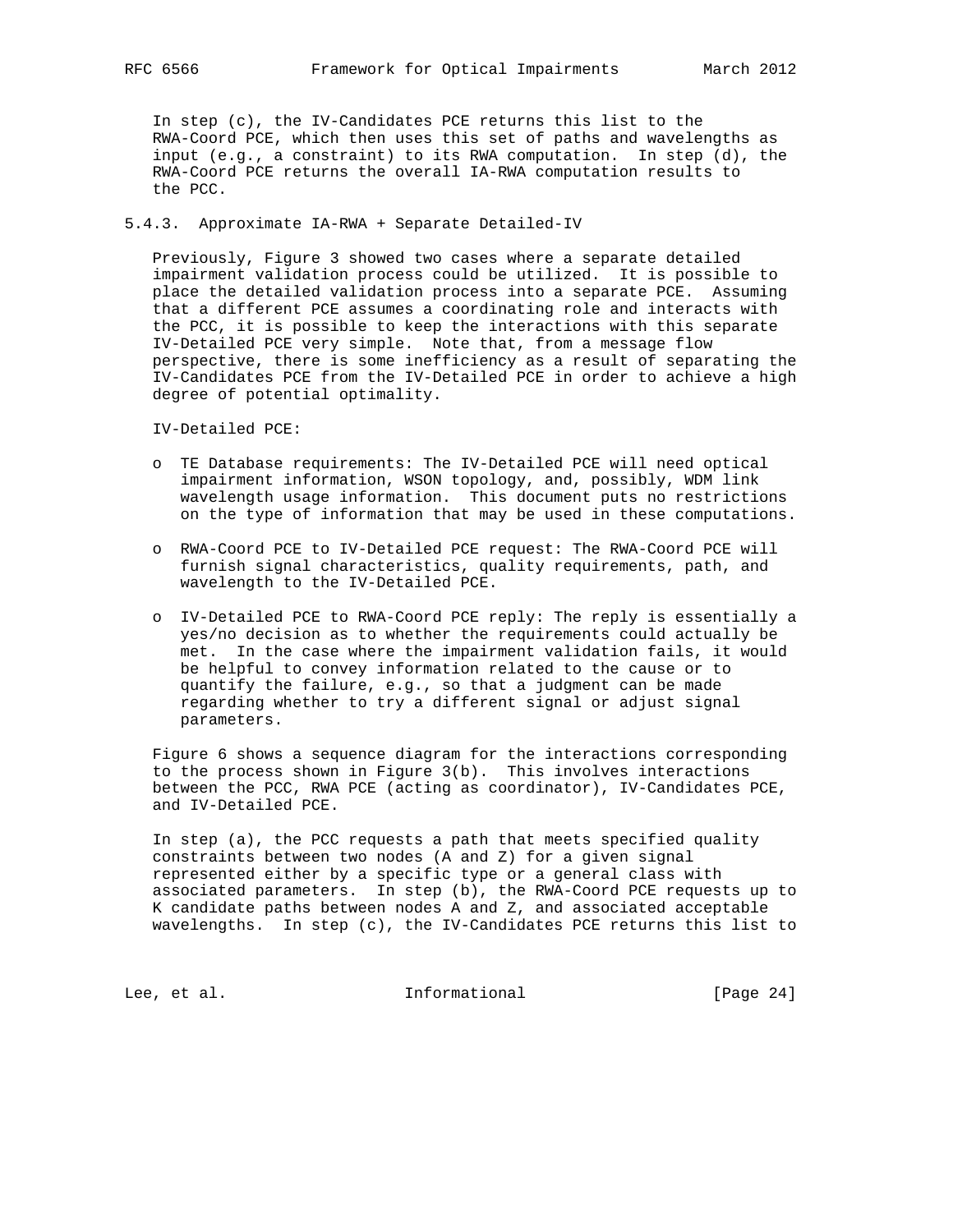In step (c), the IV-Candidates PCE returns this list to the RWA-Coord PCE, which then uses this set of paths and wavelengths as input (e.g., a constraint) to its RWA computation. In step (d), the RWA-Coord PCE returns the overall IA-RWA computation results to the PCC.

## 5.4.3. Approximate IA-RWA + Separate Detailed-IV

 Previously, Figure 3 showed two cases where a separate detailed impairment validation process could be utilized. It is possible to place the detailed validation process into a separate PCE. Assuming that a different PCE assumes a coordinating role and interacts with the PCC, it is possible to keep the interactions with this separate IV-Detailed PCE very simple. Note that, from a message flow perspective, there is some inefficiency as a result of separating the IV-Candidates PCE from the IV-Detailed PCE in order to achieve a high degree of potential optimality.

IV-Detailed PCE:

- o TE Database requirements: The IV-Detailed PCE will need optical impairment information, WSON topology, and, possibly, WDM link wavelength usage information. This document puts no restrictions on the type of information that may be used in these computations.
- o RWA-Coord PCE to IV-Detailed PCE request: The RWA-Coord PCE will furnish signal characteristics, quality requirements, path, and wavelength to the IV-Detailed PCE.
- o IV-Detailed PCE to RWA-Coord PCE reply: The reply is essentially a yes/no decision as to whether the requirements could actually be met. In the case where the impairment validation fails, it would be helpful to convey information related to the cause or to quantify the failure, e.g., so that a judgment can be made regarding whether to try a different signal or adjust signal parameters.

 Figure 6 shows a sequence diagram for the interactions corresponding to the process shown in Figure 3(b). This involves interactions between the PCC, RWA PCE (acting as coordinator), IV-Candidates PCE, and IV-Detailed PCE.

 In step (a), the PCC requests a path that meets specified quality constraints between two nodes (A and Z) for a given signal represented either by a specific type or a general class with associated parameters. In step (b), the RWA-Coord PCE requests up to K candidate paths between nodes A and Z, and associated acceptable wavelengths. In step (c), the IV-Candidates PCE returns this list to

Lee, et al. 1nformational [Page 24]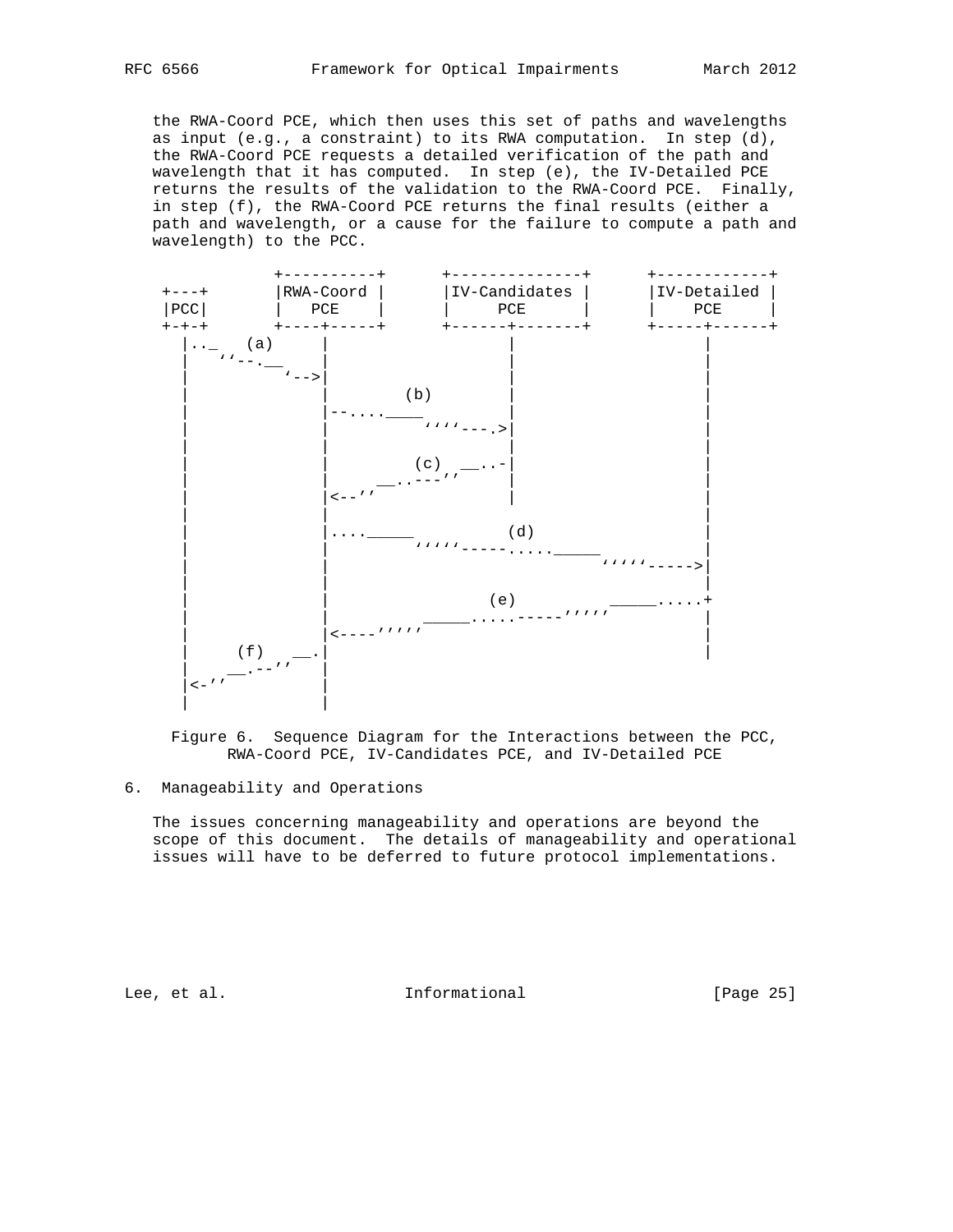the RWA-Coord PCE, which then uses this set of paths and wavelengths as input (e.g., a constraint) to its RWA computation. In step (d), the RWA-Coord PCE requests a detailed verification of the path and wavelength that it has computed. In step (e), the IV-Detailed PCE returns the results of the validation to the RWA-Coord PCE. Finally, in step (f), the RWA-Coord PCE returns the final results (either a path and wavelength, or a cause for the failure to compute a path and wavelength) to the PCC.



 Figure 6. Sequence Diagram for the Interactions between the PCC, RWA-Coord PCE, IV-Candidates PCE, and IV-Detailed PCE

## 6. Manageability and Operations

 The issues concerning manageability and operations are beyond the scope of this document. The details of manageability and operational issues will have to be deferred to future protocol implementations.

Lee, et al. 10 mm informational [Page 25]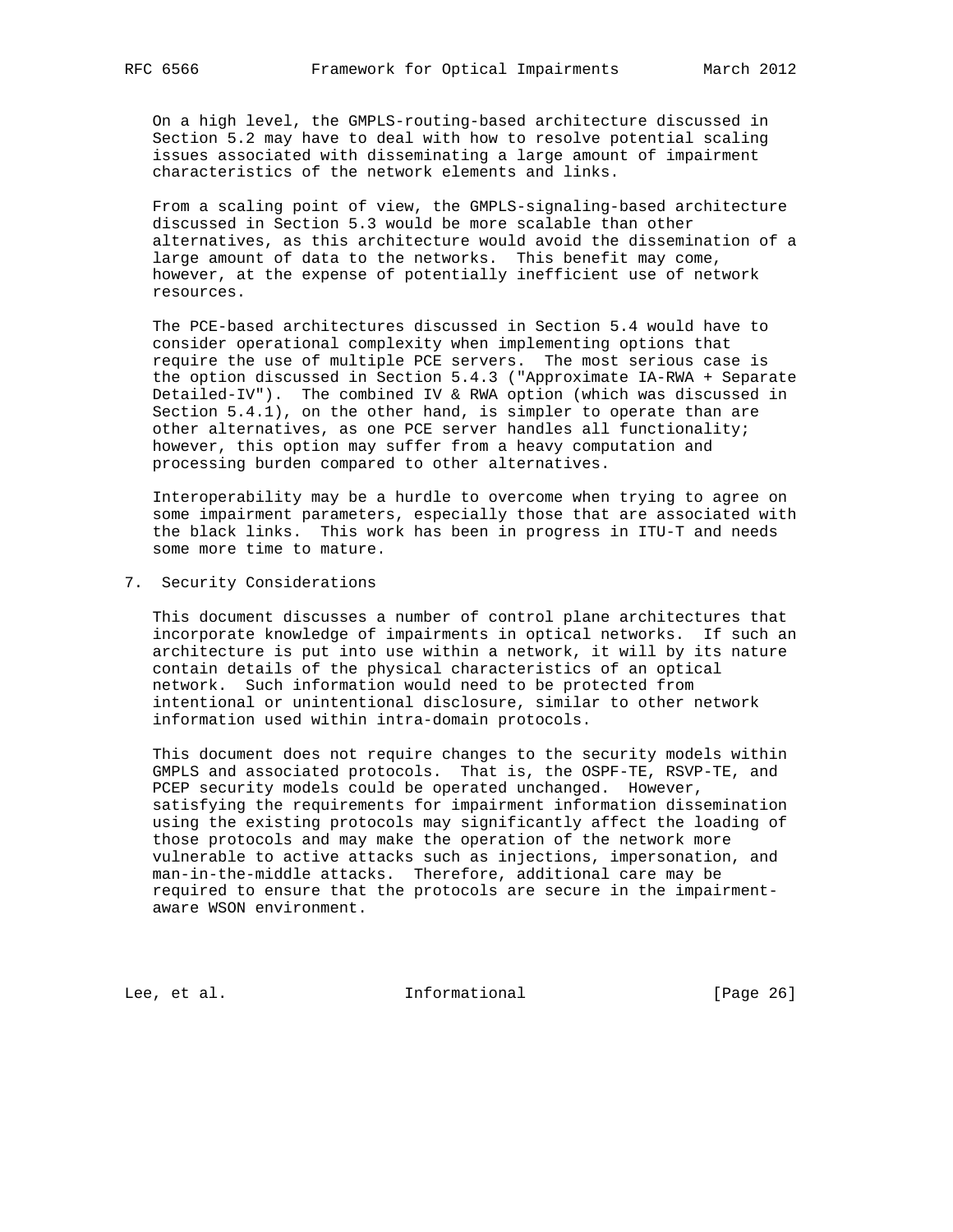On a high level, the GMPLS-routing-based architecture discussed in Section 5.2 may have to deal with how to resolve potential scaling issues associated with disseminating a large amount of impairment characteristics of the network elements and links.

 From a scaling point of view, the GMPLS-signaling-based architecture discussed in Section 5.3 would be more scalable than other alternatives, as this architecture would avoid the dissemination of a large amount of data to the networks. This benefit may come, however, at the expense of potentially inefficient use of network resources.

 The PCE-based architectures discussed in Section 5.4 would have to consider operational complexity when implementing options that require the use of multiple PCE servers. The most serious case is the option discussed in Section 5.4.3 ("Approximate IA-RWA + Separate Detailed-IV"). The combined IV & RWA option (which was discussed in Section 5.4.1), on the other hand, is simpler to operate than are other alternatives, as one PCE server handles all functionality; however, this option may suffer from a heavy computation and processing burden compared to other alternatives.

 Interoperability may be a hurdle to overcome when trying to agree on some impairment parameters, especially those that are associated with the black links. This work has been in progress in ITU-T and needs some more time to mature.

## 7. Security Considerations

 This document discusses a number of control plane architectures that incorporate knowledge of impairments in optical networks. If such an architecture is put into use within a network, it will by its nature contain details of the physical characteristics of an optical network. Such information would need to be protected from intentional or unintentional disclosure, similar to other network information used within intra-domain protocols.

 This document does not require changes to the security models within GMPLS and associated protocols. That is, the OSPF-TE, RSVP-TE, and PCEP security models could be operated unchanged. However, satisfying the requirements for impairment information dissemination using the existing protocols may significantly affect the loading of those protocols and may make the operation of the network more vulnerable to active attacks such as injections, impersonation, and man-in-the-middle attacks. Therefore, additional care may be required to ensure that the protocols are secure in the impairment aware WSON environment.

Lee, et al. 10 mm informational [Page 26]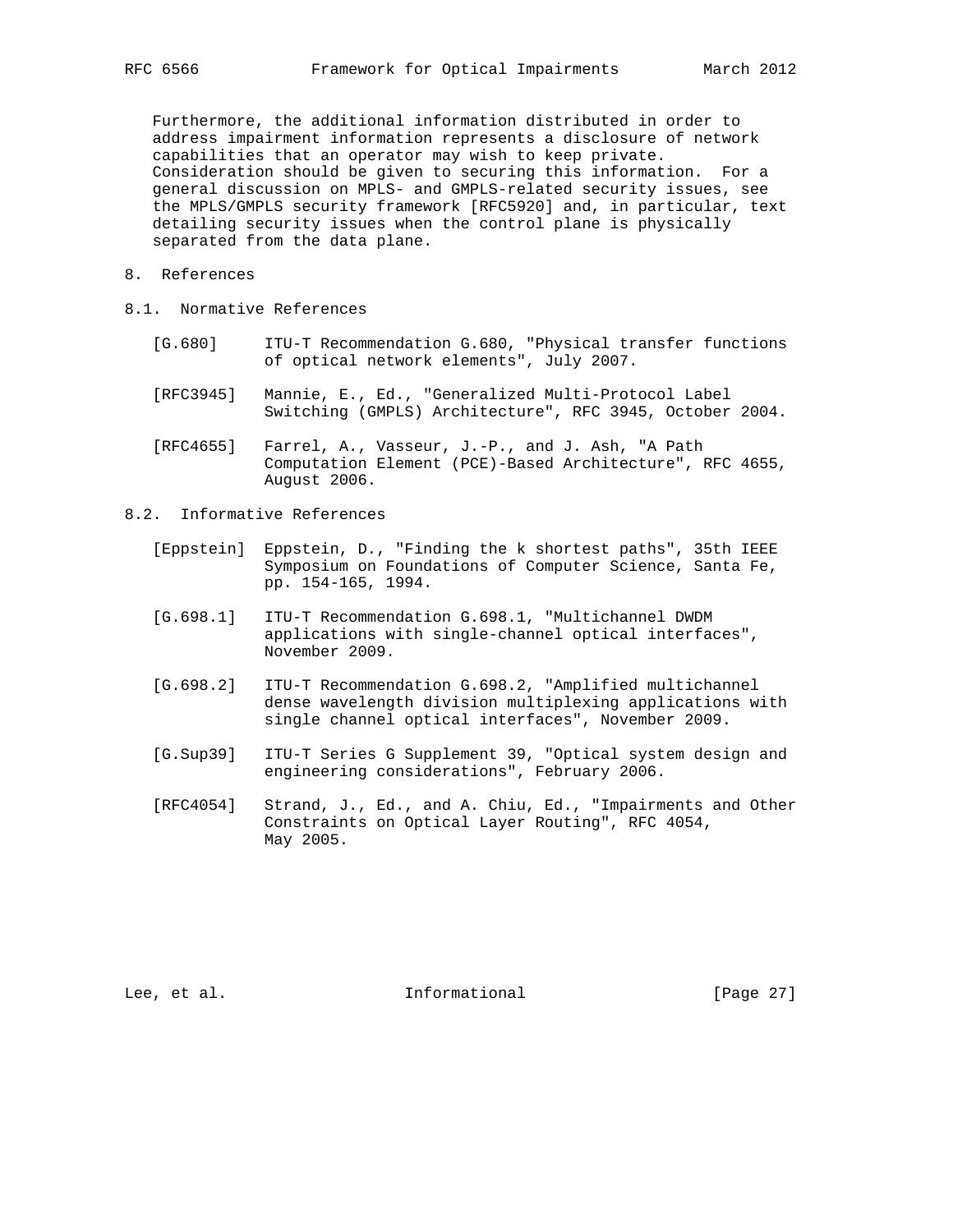Furthermore, the additional information distributed in order to address impairment information represents a disclosure of network capabilities that an operator may wish to keep private. Consideration should be given to securing this information. For a general discussion on MPLS- and GMPLS-related security issues, see the MPLS/GMPLS security framework [RFC5920] and, in particular, text detailing security issues when the control plane is physically separated from the data plane.

- 8. References
- 8.1. Normative References
	- [G.680] ITU-T Recommendation G.680, "Physical transfer functions of optical network elements", July 2007.
	- [RFC3945] Mannie, E., Ed., "Generalized Multi-Protocol Label Switching (GMPLS) Architecture", RFC 3945, October 2004.
	- [RFC4655] Farrel, A., Vasseur, J.-P., and J. Ash, "A Path Computation Element (PCE)-Based Architecture", RFC 4655, August 2006.
- 8.2. Informative References
	- [Eppstein] Eppstein, D., "Finding the k shortest paths", 35th IEEE Symposium on Foundations of Computer Science, Santa Fe, pp. 154-165, 1994.
	- [G.698.1] ITU-T Recommendation G.698.1, "Multichannel DWDM applications with single-channel optical interfaces", November 2009.
	- [G.698.2] ITU-T Recommendation G.698.2, "Amplified multichannel dense wavelength division multiplexing applications with single channel optical interfaces", November 2009.
	- [G.Sup39] ITU-T Series G Supplement 39, "Optical system design and engineering considerations", February 2006.
	- [RFC4054] Strand, J., Ed., and A. Chiu, Ed., "Impairments and Other Constraints on Optical Layer Routing", RFC 4054, May 2005.

Lee, et al. Informational [Page 27]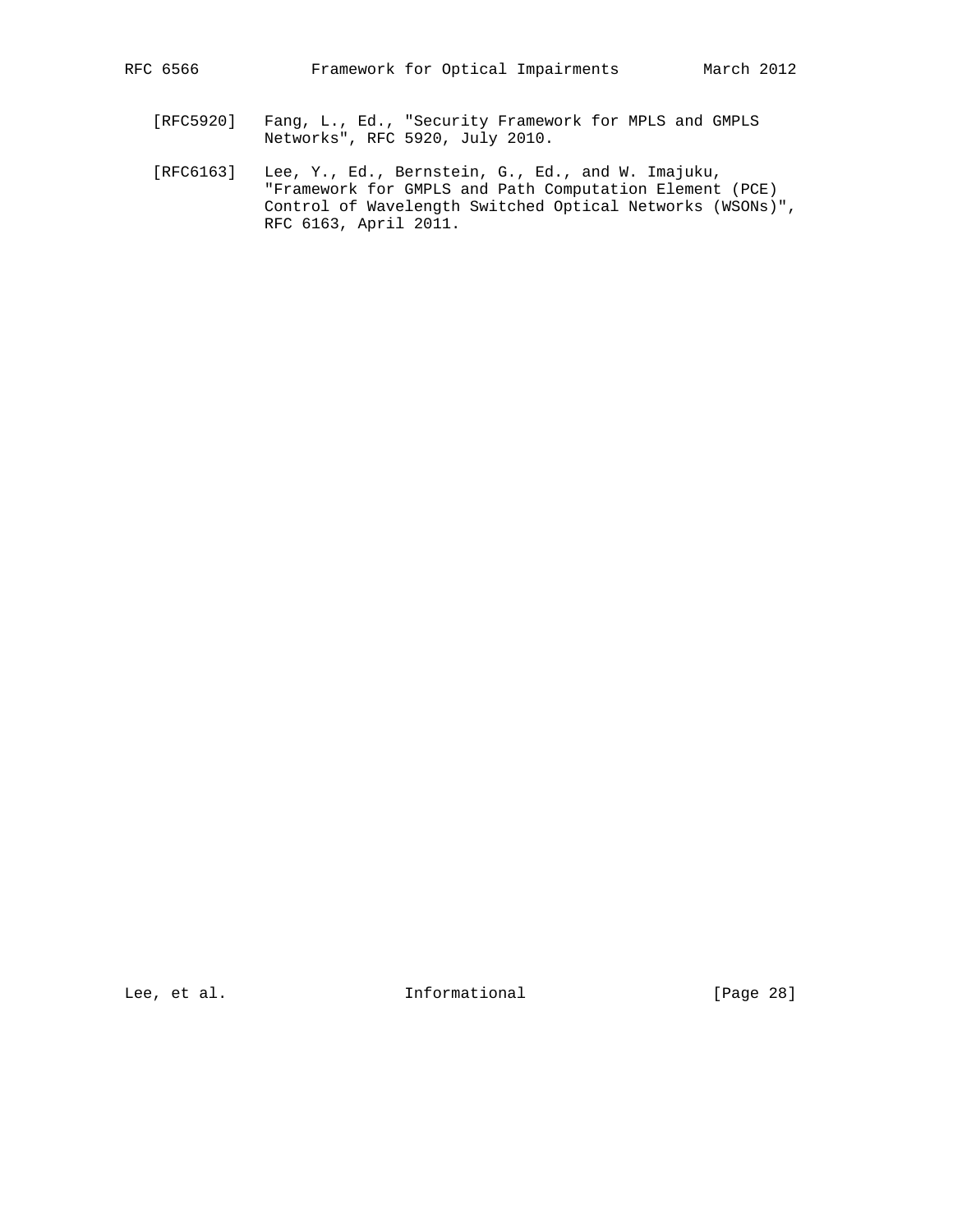- [RFC5920] Fang, L., Ed., "Security Framework for MPLS and GMPLS Networks", RFC 5920, July 2010.
- [RFC6163] Lee, Y., Ed., Bernstein, G., Ed., and W. Imajuku, "Framework for GMPLS and Path Computation Element (PCE) Control of Wavelength Switched Optical Networks (WSONs)", RFC 6163, April 2011.

Lee, et al. 100 mm informational [Page 28]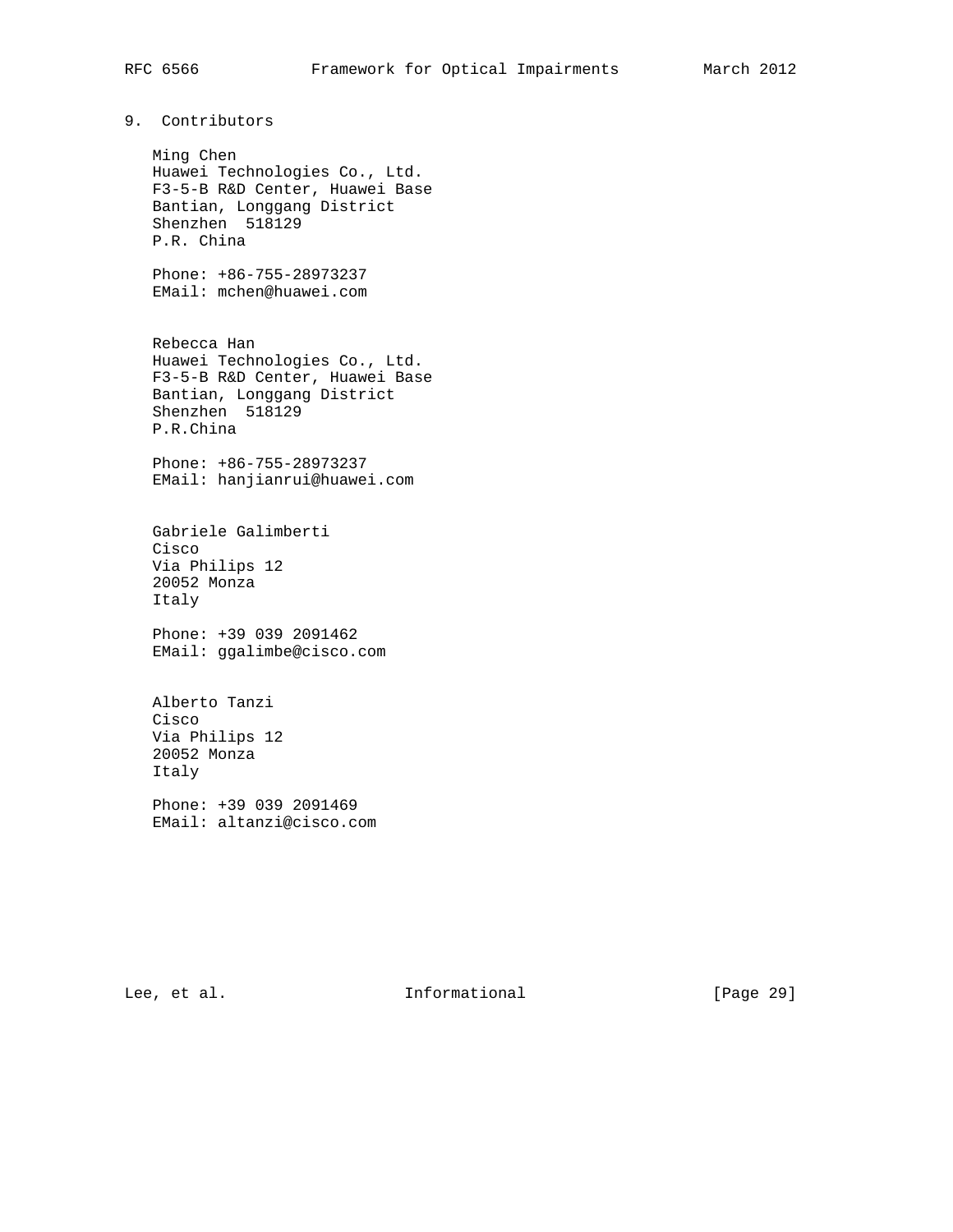# 9. Contributors

 Ming Chen Huawei Technologies Co., Ltd. F3-5-B R&D Center, Huawei Base Bantian, Longgang District Shenzhen 518129 P.R. China

 Phone: +86-755-28973237 EMail: mchen@huawei.com

 Rebecca Han Huawei Technologies Co., Ltd. F3-5-B R&D Center, Huawei Base Bantian, Longgang District Shenzhen 518129 P.R.China

 Phone: +86-755-28973237 EMail: hanjianrui@huawei.com

 Gabriele Galimberti Cisco Via Philips 12 20052 Monza Italy

 Phone: +39 039 2091462 EMail: ggalimbe@cisco.com

 Alberto Tanzi Cisco Via Philips 12 20052 Monza Italy Phone: +39 039 2091469

EMail: altanzi@cisco.com

Lee, et al. Informational [Page 29]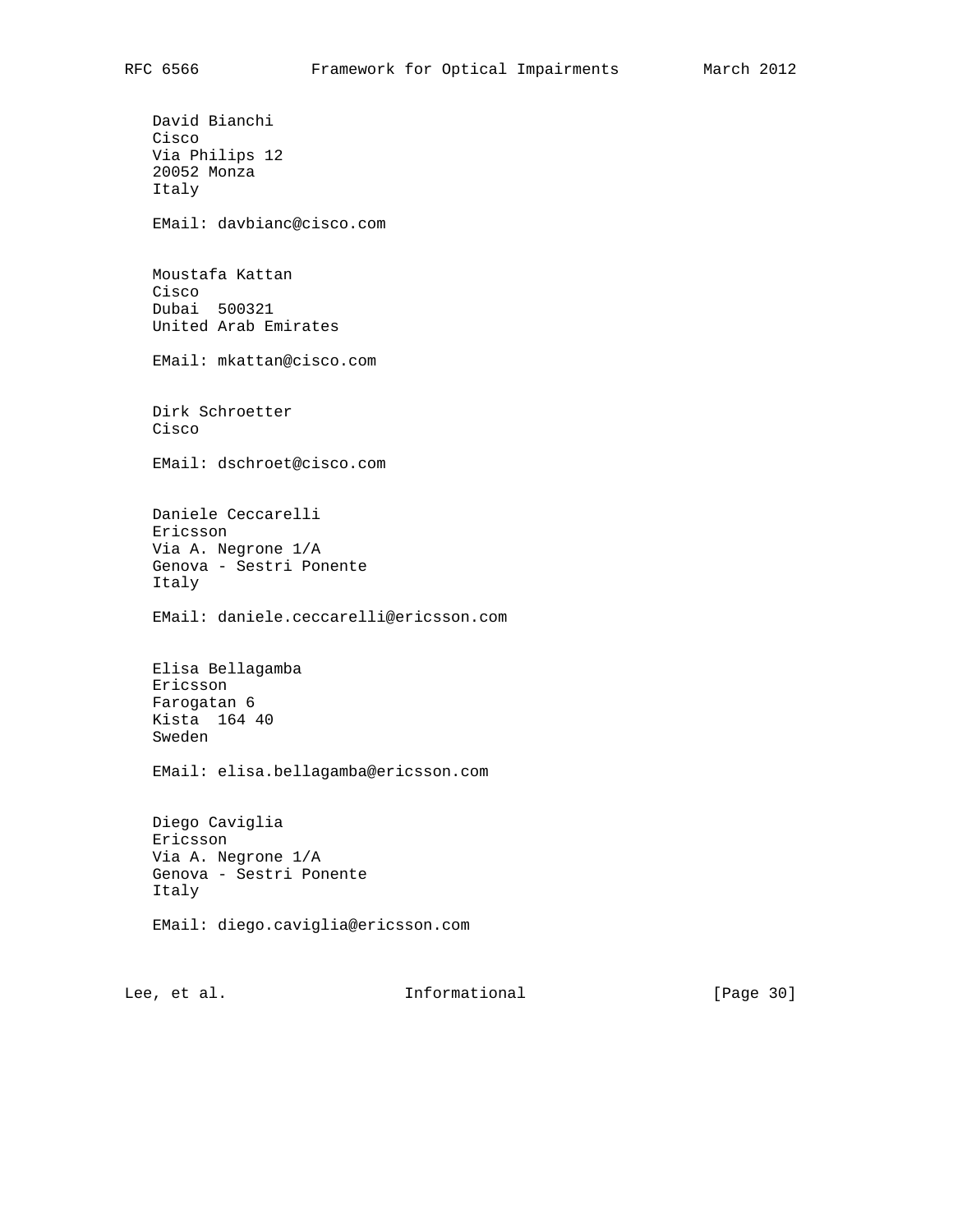David Bianchi Cisco Via Philips 12 20052 Monza Italy EMail: davbianc@cisco.com Moustafa Kattan Cisco Dubai 500321 United Arab Emirates EMail: mkattan@cisco.com Dirk Schroetter Cisco EMail: dschroet@cisco.com Daniele Ceccarelli Ericsson Via A. Negrone 1/A Genova - Sestri Ponente Italy EMail: daniele.ceccarelli@ericsson.com Elisa Bellagamba Ericsson Farogatan 6 Kista 164 40 Sweden EMail: elisa.bellagamba@ericsson.com Diego Caviglia Ericsson Via A. Negrone 1/A Genova - Sestri Ponente Italy EMail: diego.caviglia@ericsson.com

Lee, et al. Informational [Page 30]